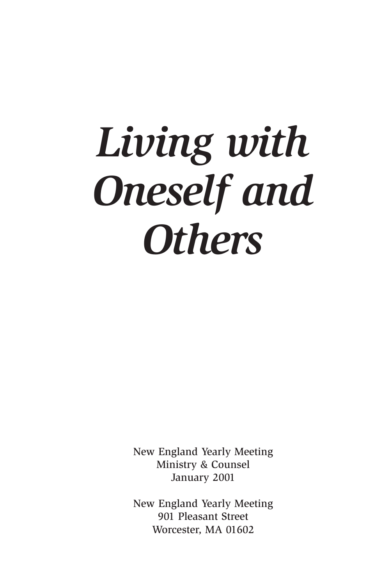# *Living with Oneself and Others*

New England Yearly Meeting Ministry & Counsel January 2001

New England Yearly Meeting 901 Pleasant Street Worcester, MA 01602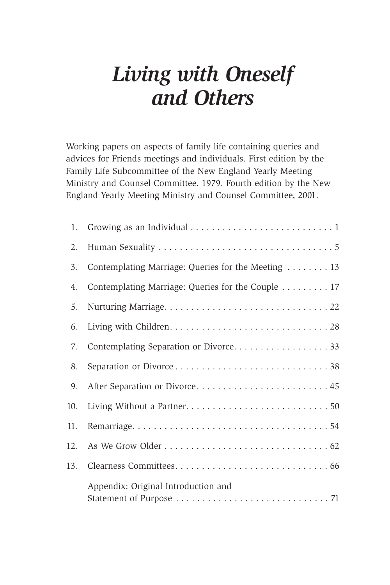### *Living with Oneself and Others*

Working papers on aspects of family life containing queries and advices for Friends meetings and individuals. First edition by the Family Life Subcommittee of the New England Yearly Meeting Ministry and Counsel Committee. 1979. Fourth edition by the New England Yearly Meeting Ministry and Counsel Committee, 2001.

| 1.  |                                                     |
|-----|-----------------------------------------------------|
| 2.  |                                                     |
| 3.  | Contemplating Marriage: Queries for the Meeting  13 |
| 4.  | Contemplating Marriage: Queries for the Couple 17   |
| 5.  |                                                     |
| 6.  |                                                     |
| 7.  | Contemplating Separation or Divorce. 33             |
| 8.  |                                                     |
| 9.  | After Separation or Divorce 45                      |
| 10. |                                                     |
| 11. |                                                     |
|     |                                                     |
| 13. |                                                     |
|     | Appendix: Original Introduction and                 |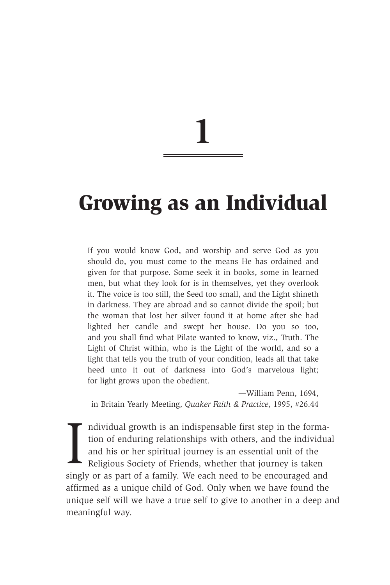### **Growing as an Individual**

If you would know God, and worship and serve God as you should do, you must come to the means He has ordained and given for that purpose. Some seek it in books, some in learned men, but what they look for is in themselves, yet they overlook it. The voice is too still, the Seed too small, and the Light shineth in darkness. They are abroad and so cannot divide the spoil; but the woman that lost her silver found it at home after she had lighted her candle and swept her house. Do you so too, and you shall find what Pilate wanted to know, viz., Truth. The Light of Christ within, who is the Light of the world, and so a light that tells you the truth of your condition, leads all that take heed unto it out of darkness into God's marvelous light; for light grows upon the obedient.

—William Penn, 1694, in Britain Yearly Meeting, *Quaker Faith & Practice*, 1995, #26.44

Individual growth is an indispensable first step in the formation of enduring relationships with others, and the individu<br>and his or her spiritual journey is an essential unit of the<br>Religious Society of Friends, whether t ndividual growth is an indispensable first step in the formation of enduring relationships with others, and the individual and his or her spiritual journey is an essential unit of the Religious Society of Friends, whether that journey is taken affirmed as a unique child of God. Only when we have found the unique self will we have a true self to give to another in a deep and meaningful way.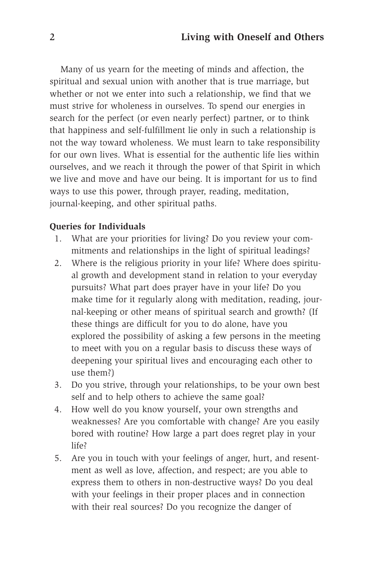Many of us yearn for the meeting of minds and affection, the spiritual and sexual union with another that is true marriage, but whether or not we enter into such a relationship, we find that we must strive for wholeness in ourselves. To spend our energies in search for the perfect (or even nearly perfect) partner, or to think that happiness and self-fulfillment lie only in such a relationship is not the way toward wholeness. We must learn to take responsibility for our own lives. What is essential for the authentic life lies within ourselves, and we reach it through the power of that Spirit in which we live and move and have our being. It is important for us to find ways to use this power, through prayer, reading, meditation, journal-keeping, and other spiritual paths.

#### **Queries for Individuals**

- 1. What are your priorities for living? Do you review your commitments and relationships in the light of spiritual leadings?
- 2. Where is the religious priority in your life? Where does spiritual growth and development stand in relation to your everyday pursuits? What part does prayer have in your life? Do you make time for it regularly along with meditation, reading, journal-keeping or other means of spiritual search and growth? (If these things are difficult for you to do alone, have you explored the possibility of asking a few persons in the meeting to meet with you on a regular basis to discuss these ways of deepening your spiritual lives and encouraging each other to use them?)
- 3. Do you strive, through your relationships, to be your own best self and to help others to achieve the same goal?
- 4. How well do you know yourself, your own strengths and weaknesses? Are you comfortable with change? Are you easily bored with routine? How large a part does regret play in your life?
- 5. Are you in touch with your feelings of anger, hurt, and resentment as well as love, affection, and respect; are you able to express them to others in non-destructive ways? Do you deal with your feelings in their proper places and in connection with their real sources? Do you recognize the danger of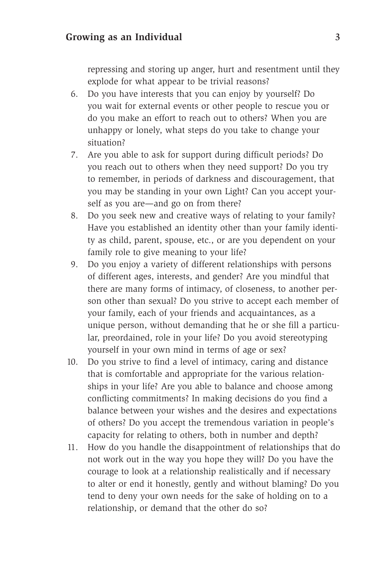repressing and storing up anger, hurt and resentment until they explode for what appear to be trivial reasons?

- 6. Do you have interests that you can enjoy by yourself? Do you wait for external events or other people to rescue you or do you make an effort to reach out to others? When you are unhappy or lonely, what steps do you take to change your situation?
- 7. Are you able to ask for support during difficult periods? Do you reach out to others when they need support? Do you try to remember, in periods of darkness and discouragement, that you may be standing in your own Light? Can you accept yourself as you are—and go on from there?
- 8. Do you seek new and creative ways of relating to your family? Have you established an identity other than your family identity as child, parent, spouse, etc., or are you dependent on your family role to give meaning to your life?
- 9. Do you enjoy a variety of different relationships with persons of different ages, interests, and gender? Are you mindful that there are many forms of intimacy, of closeness, to another person other than sexual? Do you strive to accept each member of your family, each of your friends and acquaintances, as a unique person, without demanding that he or she fill a particular, preordained, role in your life? Do you avoid stereotyping yourself in your own mind in terms of age or sex?
- 10. Do you strive to find a level of intimacy, caring and distance that is comfortable and appropriate for the various relationships in your life? Are you able to balance and choose among conflicting commitments? In making decisions do you find a balance between your wishes and the desires and expectations of others? Do you accept the tremendous variation in people's capacity for relating to others, both in number and depth?
- 11. How do you handle the disappointment of relationships that do not work out in the way you hope they will? Do you have the courage to look at a relationship realistically and if necessary to alter or end it honestly, gently and without blaming? Do you tend to deny your own needs for the sake of holding on to a relationship, or demand that the other do so?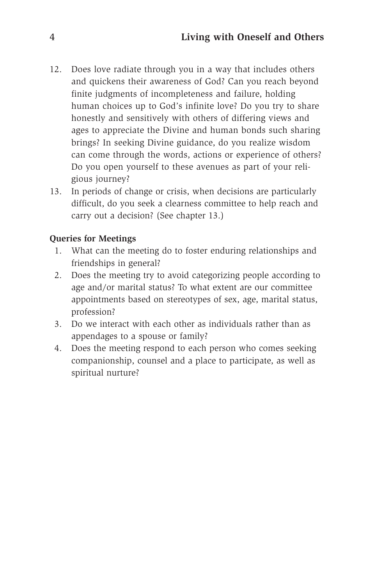- 12. Does love radiate through you in a way that includes others and quickens their awareness of God? Can you reach beyond finite judgments of incompleteness and failure, holding human choices up to God's infinite love? Do you try to share honestly and sensitively with others of differing views and ages to appreciate the Divine and human bonds such sharing brings? In seeking Divine guidance, do you realize wisdom can come through the words, actions or experience of others? Do you open yourself to these avenues as part of your religious journey?
- 13. In periods of change or crisis, when decisions are particularly difficult, do you seek a clearness committee to help reach and carry out a decision? (See chapter 13.)

#### **Queries for Meetings**

- 1. What can the meeting do to foster enduring relationships and friendships in general?
- 2. Does the meeting try to avoid categorizing people according to age and/or marital status? To what extent are our committee appointments based on stereotypes of sex, age, marital status, profession?
- 3. Do we interact with each other as individuals rather than as appendages to a spouse or family?
- 4. Does the meeting respond to each person who comes seeking companionship, counsel and a place to participate, as well as spiritual nurture?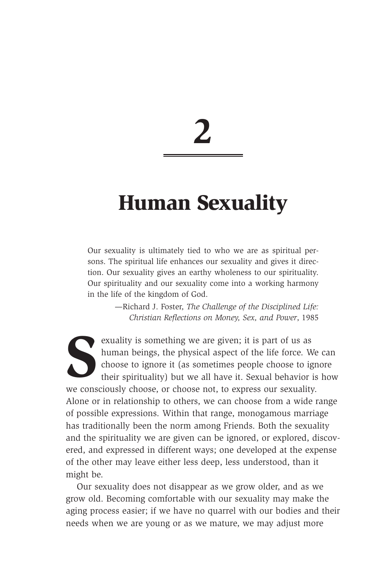### **Human Sexuality**

Our sexuality is ultimately tied to who we are as spiritual persons. The spiritual life enhances our sexuality and gives it direction. Our sexuality gives an earthy wholeness to our spirituality. Our spirituality and our sexuality come into a working harmony in the life of the kingdom of God.

> —Richard J. Foster, *The Challenge of the Disciplined Life: Christian Reflections on Money, Sex, and Power*, 1985

Extending we are given; it is part of us as<br>human beings, the physical aspect of the life force. We choose to ignore it (as sometimes people choose to ig<br>their spirituality) but we all have it. Sexual behavior<br>we conscious human beings, the physical aspect of the life force. We can choose to ignore it (as sometimes people choose to ignore their spirituality) but we all have it. Sexual behavior is how we consciously choose, or choose not, to express our sexuality. Alone or in relationship to others, we can choose from a wide range of possible expressions. Within that range, monogamous marriage has traditionally been the norm among Friends. Both the sexuality and the spirituality we are given can be ignored, or explored, discovered, and expressed in different ways; one developed at the expense of the other may leave either less deep, less understood, than it might be.

Our sexuality does not disappear as we grow older, and as we grow old. Becoming comfortable with our sexuality may make the aging process easier; if we have no quarrel with our bodies and their needs when we are young or as we mature, we may adjust more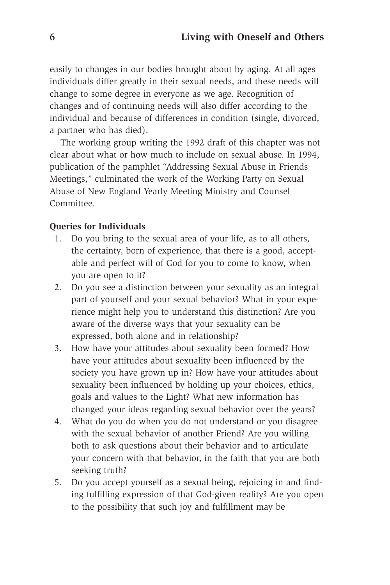easily to changes in our bodies brought about by aging. At all ages individuals differ greatly in their sexual needs, and these needs will change to some degree in everyone as we age. Recognition of changes and of continuing needs will also differ according to the individual and because of differences in condition (single, divorced, a partner who has died).

The working group writing the 1992 draft of this chapter was not clear about what or how much to include on sexual abuse. In 1994, publication of the pamphlet "Addressing Sexual Abuse in Friends Meetings," culminated the work of the Working Party on Sexual Abuse of New England Yearly Meeting Ministry and Counsel Committee.

#### **Queries for Individuals**

- 1. Do you bring to the sexual area of your life, as to all others, the certainty, born of experience, that there is a good, acceptable and perfect will of God for you to come to know, when you are open to it?
- 2. Do you see a distinction between your sexuality as an integral part of yourself and your sexual behavior? What in your experience might help you to understand this distinction? Are you aware of the diverse ways that your sexuality can be expressed, both alone and in relationship?
- 3. How have your attitudes about sexuality been formed? How have your attitudes about sexuality been influenced by the society you have grown up in? How have your attitudes about sexuality been influenced by holding up your choices, ethics, goals and values to the Light? What new information has changed your ideas regarding sexual behavior over the years?
- 4. What do you do when you do not understand or you disagree with the sexual behavior of another Friend? Are you willing both to ask questions about their behavior and to articulate your concern with that behavior, in the faith that you are both seeking truth?
- 5. Do you accept yourself as a sexual being, rejoicing in and finding fulfilling expression of that God-given reality? Are you open to the possibility that such joy and fulfillment may be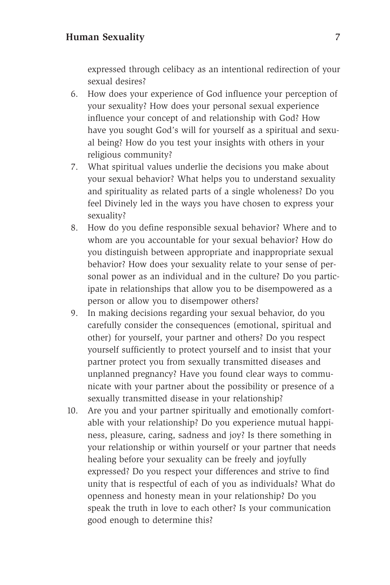#### **Human Sexuality** 7

expressed through celibacy as an intentional redirection of your sexual desires?

- 6. How does your experience of God influence your perception of your sexuality? How does your personal sexual experience influence your concept of and relationship with God? How have you sought God's will for yourself as a spiritual and sexual being? How do you test your insights with others in your religious community?
- 7. What spiritual values underlie the decisions you make about your sexual behavior? What helps you to understand sexuality and spirituality as related parts of a single wholeness? Do you feel Divinely led in the ways you have chosen to express your sexuality?
- 8. How do you define responsible sexual behavior? Where and to whom are you accountable for your sexual behavior? How do you distinguish between appropriate and inappropriate sexual behavior? How does your sexuality relate to your sense of personal power as an individual and in the culture? Do you participate in relationships that allow you to be disempowered as a person or allow you to disempower others?
- 9. In making decisions regarding your sexual behavior, do you carefully consider the consequences (emotional, spiritual and other) for yourself, your partner and others? Do you respect yourself sufficiently to protect yourself and to insist that your partner protect you from sexually transmitted diseases and unplanned pregnancy? Have you found clear ways to communicate with your partner about the possibility or presence of a sexually transmitted disease in your relationship?
- 10. Are you and your partner spiritually and emotionally comfortable with your relationship? Do you experience mutual happiness, pleasure, caring, sadness and joy? Is there something in your relationship or within yourself or your partner that needs healing before your sexuality can be freely and joyfully expressed? Do you respect your differences and strive to find unity that is respectful of each of you as individuals? What do openness and honesty mean in your relationship? Do you speak the truth in love to each other? Is your communication good enough to determine this?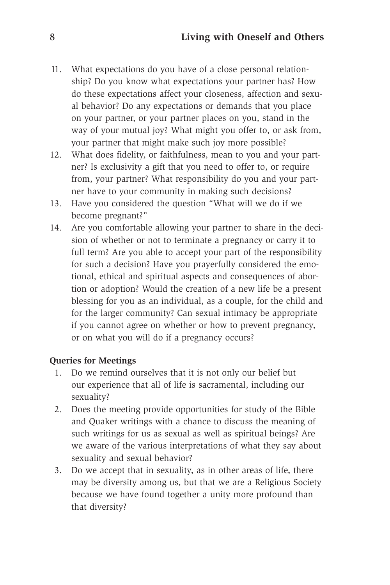- 11. What expectations do you have of a close personal relationship? Do you know what expectations your partner has? How do these expectations affect your closeness, affection and sexual behavior? Do any expectations or demands that you place on your partner, or your partner places on you, stand in the way of your mutual joy? What might you offer to, or ask from, your partner that might make such joy more possible?
- 12. What does fidelity, or faithfulness, mean to you and your partner? Is exclusivity a gift that you need to offer to, or require from, your partner? What responsibility do you and your partner have to your community in making such decisions?
- 13. Have you considered the question "What will we do if we become pregnant?"
- 14. Are you comfortable allowing your partner to share in the decision of whether or not to terminate a pregnancy or carry it to full term? Are you able to accept your part of the responsibility for such a decision? Have you prayerfully considered the emotional, ethical and spiritual aspects and consequences of abortion or adoption? Would the creation of a new life be a present blessing for you as an individual, as a couple, for the child and for the larger community? Can sexual intimacy be appropriate if you cannot agree on whether or how to prevent pregnancy, or on what you will do if a pregnancy occurs?

#### **Queries for Meetings**

- 1. Do we remind ourselves that it is not only our belief but our experience that all of life is sacramental, including our sexuality?
- 2. Does the meeting provide opportunities for study of the Bible and Quaker writings with a chance to discuss the meaning of such writings for us as sexual as well as spiritual beings? Are we aware of the various interpretations of what they say about sexuality and sexual behavior?
- 3. Do we accept that in sexuality, as in other areas of life, there may be diversity among us, but that we are a Religious Society because we have found together a unity more profound than that diversity?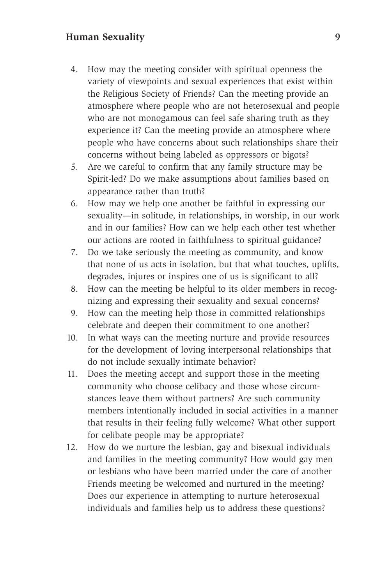#### **Human Sexuality** 9

- 4. How may the meeting consider with spiritual openness the variety of viewpoints and sexual experiences that exist within the Religious Society of Friends? Can the meeting provide an atmosphere where people who are not heterosexual and people who are not monogamous can feel safe sharing truth as they experience it? Can the meeting provide an atmosphere where people who have concerns about such relationships share their concerns without being labeled as oppressors or bigots?
- 5. Are we careful to confirm that any family structure may be Spirit-led? Do we make assumptions about families based on appearance rather than truth?
- 6. How may we help one another be faithful in expressing our sexuality—in solitude, in relationships, in worship, in our work and in our families? How can we help each other test whether our actions are rooted in faithfulness to spiritual guidance?
- 7. Do we take seriously the meeting as community, and know that none of us acts in isolation, but that what touches, uplifts, degrades, injures or inspires one of us is significant to all?
- 8. How can the meeting be helpful to its older members in recognizing and expressing their sexuality and sexual concerns?
- 9. How can the meeting help those in committed relationships celebrate and deepen their commitment to one another?
- 10. In what ways can the meeting nurture and provide resources for the development of loving interpersonal relationships that do not include sexually intimate behavior?
- 11. Does the meeting accept and support those in the meeting community who choose celibacy and those whose circumstances leave them without partners? Are such community members intentionally included in social activities in a manner that results in their feeling fully welcome? What other support for celibate people may be appropriate?
- 12. How do we nurture the lesbian, gay and bisexual individuals and families in the meeting community? How would gay men or lesbians who have been married under the care of another Friends meeting be welcomed and nurtured in the meeting? Does our experience in attempting to nurture heterosexual individuals and families help us to address these questions?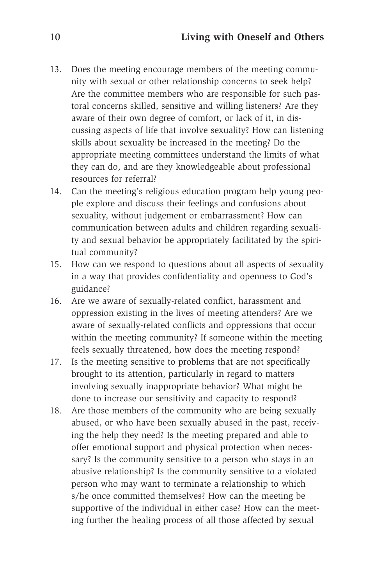- 13. Does the meeting encourage members of the meeting community with sexual or other relationship concerns to seek help? Are the committee members who are responsible for such pastoral concerns skilled, sensitive and willing listeners? Are they aware of their own degree of comfort, or lack of it, in discussing aspects of life that involve sexuality? How can listening skills about sexuality be increased in the meeting? Do the appropriate meeting committees understand the limits of what they can do, and are they knowledgeable about professional resources for referral?
- 14. Can the meeting's religious education program help young people explore and discuss their feelings and confusions about sexuality, without judgement or embarrassment? How can communication between adults and children regarding sexuality and sexual behavior be appropriately facilitated by the spiritual community?
- 15. How can we respond to questions about all aspects of sexuality in a way that provides confidentiality and openness to God's guidance?
- 16. Are we aware of sexually-related conflict, harassment and oppression existing in the lives of meeting attenders? Are we aware of sexually-related conflicts and oppressions that occur within the meeting community? If someone within the meeting feels sexually threatened, how does the meeting respond?
- 17. Is the meeting sensitive to problems that are not specifically brought to its attention, particularly in regard to matters involving sexually inappropriate behavior? What might be done to increase our sensitivity and capacity to respond?
- 18. Are those members of the community who are being sexually abused, or who have been sexually abused in the past, receiving the help they need? Is the meeting prepared and able to offer emotional support and physical protection when necessary? Is the community sensitive to a person who stays in an abusive relationship? Is the community sensitive to a violated person who may want to terminate a relationship to which s/he once committed themselves? How can the meeting be supportive of the individual in either case? How can the meeting further the healing process of all those affected by sexual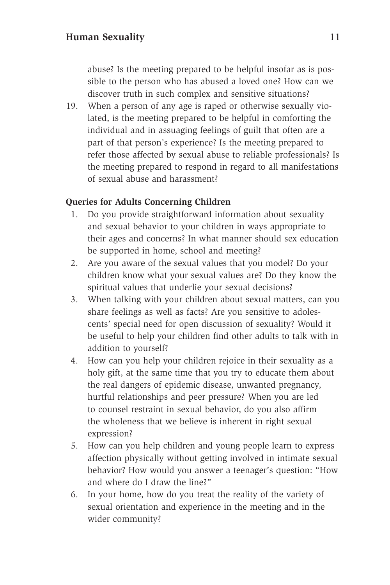abuse? Is the meeting prepared to be helpful insofar as is possible to the person who has abused a loved one? How can we discover truth in such complex and sensitive situations?

19. When a person of any age is raped or otherwise sexually violated, is the meeting prepared to be helpful in comforting the individual and in assuaging feelings of guilt that often are a part of that person's experience? Is the meeting prepared to refer those affected by sexual abuse to reliable professionals? Is the meeting prepared to respond in regard to all manifestations of sexual abuse and harassment?

#### **Queries for Adults Concerning Children**

- 1. Do you provide straightforward information about sexuality and sexual behavior to your children in ways appropriate to their ages and concerns? In what manner should sex education be supported in home, school and meeting?
- 2. Are you aware of the sexual values that you model? Do your children know what your sexual values are? Do they know the spiritual values that underlie your sexual decisions?
- 3. When talking with your children about sexual matters, can you share feelings as well as facts? Are you sensitive to adolescents' special need for open discussion of sexuality? Would it be useful to help your children find other adults to talk with in addition to yourself?
- 4. How can you help your children rejoice in their sexuality as a holy gift, at the same time that you try to educate them about the real dangers of epidemic disease, unwanted pregnancy, hurtful relationships and peer pressure? When you are led to counsel restraint in sexual behavior, do you also affirm the wholeness that we believe is inherent in right sexual expression?
- 5. How can you help children and young people learn to express affection physically without getting involved in intimate sexual behavior? How would you answer a teenager's question: "How and where do I draw the line?"
- 6. In your home, how do you treat the reality of the variety of sexual orientation and experience in the meeting and in the wider community?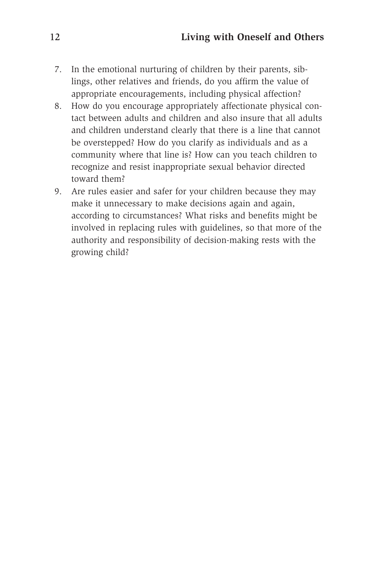- 7. In the emotional nurturing of children by their parents, siblings, other relatives and friends, do you affirm the value of appropriate encouragements, including physical affection?
- 8. How do you encourage appropriately affectionate physical contact between adults and children and also insure that all adults and children understand clearly that there is a line that cannot be overstepped? How do you clarify as individuals and as a community where that line is? How can you teach children to recognize and resist inappropriate sexual behavior directed toward them?
- 9. Are rules easier and safer for your children because they may make it unnecessary to make decisions again and again, according to circumstances? What risks and benefits might be involved in replacing rules with guidelines, so that more of the authority and responsibility of decision-making rests with the growing child?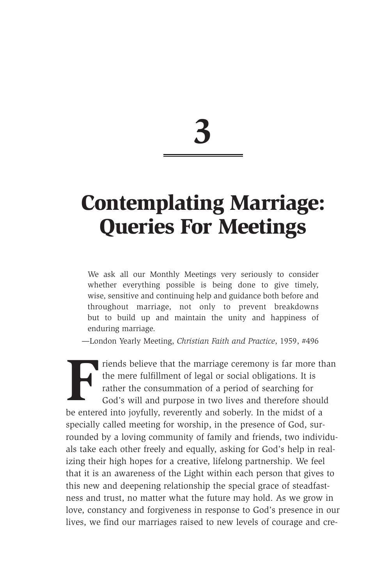### **Contemplating Marriage: Queries For Meetings**

We ask all our Monthly Meetings very seriously to consider whether everything possible is being done to give timely, wise, sensitive and continuing help and guidance both before and throughout marriage, not only to prevent breakdowns but to build up and maintain the unity and happiness of enduring marriage.

*—*London Yearly Meeting, *Christian Faith and Practice*, 1959, #496

**Friends believe that the marriage ceremony is far more than<br>the mere fulfillment of legal or social obligations. It is<br>rather the consummation of a period of searching for<br>God's will and purpose in two lives and therefore** the mere fulfillment of legal or social obligations. It is rather the consummation of a period of searching for God's will and purpose in two lives and therefore should be entered into joyfully, reverently and soberly. In the midst of a specially called meeting for worship, in the presence of God, surrounded by a loving community of family and friends, two individuals take each other freely and equally, asking for God's help in realizing their high hopes for a creative, lifelong partnership. We feel that it is an awareness of the Light within each person that gives to this new and deepening relationship the special grace of steadfastness and trust, no matter what the future may hold. As we grow in love, constancy and forgiveness in response to God's presence in our lives, we find our marriages raised to new levels of courage and cre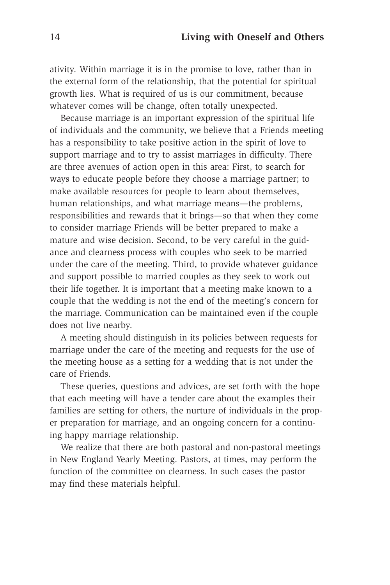ativity. Within marriage it is in the promise to love, rather than in the external form of the relationship, that the potential for spiritual growth lies. What is required of us is our commitment, because whatever comes will be change, often totally unexpected.

Because marriage is an important expression of the spiritual life of individuals and the community, we believe that a Friends meeting has a responsibility to take positive action in the spirit of love to support marriage and to try to assist marriages in difficulty. There are three avenues of action open in this area: First, to search for ways to educate people before they choose a marriage partner; to make available resources for people to learn about themselves, human relationships, and what marriage means—the problems, responsibilities and rewards that it brings—so that when they come to consider marriage Friends will be better prepared to make a mature and wise decision. Second, to be very careful in the guidance and clearness process with couples who seek to be married under the care of the meeting. Third, to provide whatever guidance and support possible to married couples as they seek to work out their life together. It is important that a meeting make known to a couple that the wedding is not the end of the meeting's concern for the marriage. Communication can be maintained even if the couple does not live nearby.

A meeting should distinguish in its policies between requests for marriage under the care of the meeting and requests for the use of the meeting house as a setting for a wedding that is not under the care of Friends.

These queries, questions and advices, are set forth with the hope that each meeting will have a tender care about the examples their families are setting for others, the nurture of individuals in the proper preparation for marriage, and an ongoing concern for a continuing happy marriage relationship.

We realize that there are both pastoral and non-pastoral meetings in New England Yearly Meeting. Pastors, at times, may perform the function of the committee on clearness. In such cases the pastor may find these materials helpful.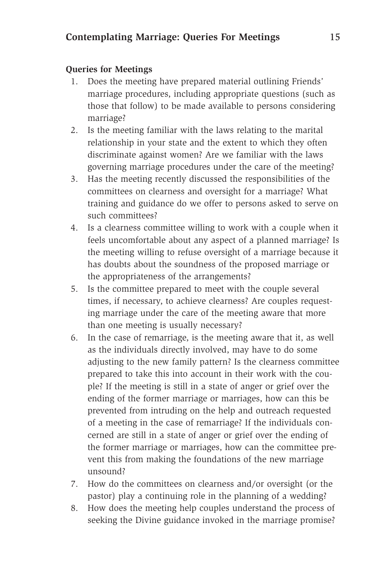#### **Queries for Meetings**

- 1. Does the meeting have prepared material outlining Friends' marriage procedures, including appropriate questions (such as those that follow) to be made available to persons considering marriage?
- 2. Is the meeting familiar with the laws relating to the marital relationship in your state and the extent to which they often discriminate against women? Are we familiar with the laws governing marriage procedures under the care of the meeting?
- 3. Has the meeting recently discussed the responsibilities of the committees on clearness and oversight for a marriage? What training and guidance do we offer to persons asked to serve on such committees?
- 4. Is a clearness committee willing to work with a couple when it feels uncomfortable about any aspect of a planned marriage? Is the meeting willing to refuse oversight of a marriage because it has doubts about the soundness of the proposed marriage or the appropriateness of the arrangements?
- 5. Is the committee prepared to meet with the couple several times, if necessary, to achieve clearness? Are couples requesting marriage under the care of the meeting aware that more than one meeting is usually necessary?
- 6. In the case of remarriage, is the meeting aware that it, as well as the individuals directly involved, may have to do some adjusting to the new family pattern? Is the clearness committee prepared to take this into account in their work with the couple? If the meeting is still in a state of anger or grief over the ending of the former marriage or marriages, how can this be prevented from intruding on the help and outreach requested of a meeting in the case of remarriage? If the individuals concerned are still in a state of anger or grief over the ending of the former marriage or marriages, how can the committee prevent this from making the foundations of the new marriage unsound?
- 7. How do the committees on clearness and/or oversight (or the pastor) play a continuing role in the planning of a wedding?
- 8. How does the meeting help couples understand the process of seeking the Divine guidance invoked in the marriage promise?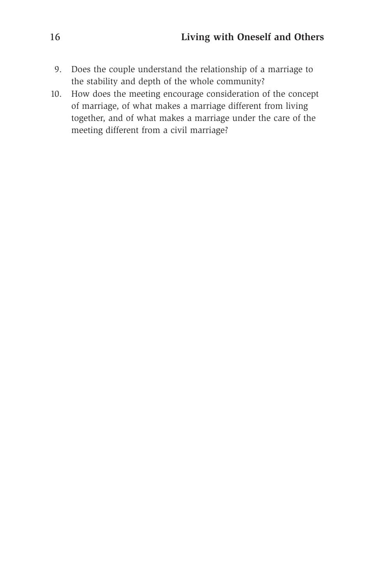- 9. Does the couple understand the relationship of a marriage to the stability and depth of the whole community?
- 10. How does the meeting encourage consideration of the concept of marriage, of what makes a marriage different from living together, and of what makes a marriage under the care of the meeting different from a civil marriage?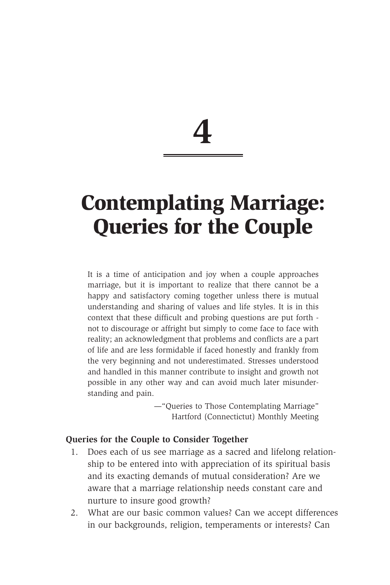### **Contemplating Marriage: Queries for the Couple**

It is a time of anticipation and joy when a couple approaches marriage, but it is important to realize that there cannot be a happy and satisfactory coming together unless there is mutual understanding and sharing of values and life styles. It is in this context that these difficult and probing questions are put forth not to discourage or affright but simply to come face to face with reality; an acknowledgment that problems and conflicts are a part of life and are less formidable if faced honestly and frankly from the very beginning and not underestimated. Stresses understood and handled in this manner contribute to insight and growth not possible in any other way and can avoid much later misunderstanding and pain.

> —"Queries to Those Contemplating Marriage" Hartford (Connectictut) Monthly Meeting

#### **Queries for the Couple to Consider Together**

- 1. Does each of us see marriage as a sacred and lifelong relationship to be entered into with appreciation of its spiritual basis and its exacting demands of mutual consideration? Are we aware that a marriage relationship needs constant care and nurture to insure good growth?
- 2. What are our basic common values? Can we accept differences in our backgrounds, religion, temperaments or interests? Can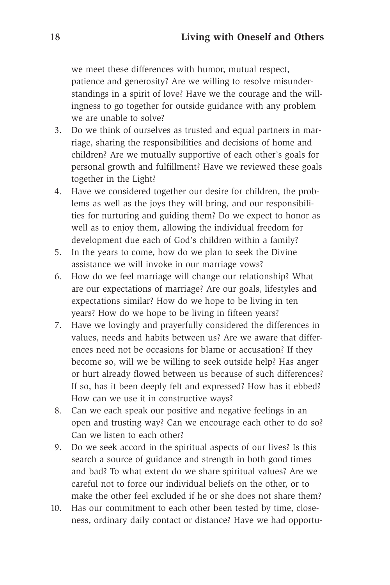we meet these differences with humor, mutual respect, patience and generosity? Are we willing to resolve misunderstandings in a spirit of love? Have we the courage and the willingness to go together for outside guidance with any problem we are unable to solve?

- 3. Do we think of ourselves as trusted and equal partners in marriage, sharing the responsibilities and decisions of home and children? Are we mutually supportive of each other's goals for personal growth and fulfillment? Have we reviewed these goals together in the Light?
- 4. Have we considered together our desire for children, the problems as well as the joys they will bring, and our responsibilities for nurturing and guiding them? Do we expect to honor as well as to enjoy them, allowing the individual freedom for development due each of God's children within a family?
- 5. In the years to come, how do we plan to seek the Divine assistance we will invoke in our marriage vows?
- 6. How do we feel marriage will change our relationship? What are our expectations of marriage? Are our goals, lifestyles and expectations similar? How do we hope to be living in ten years? How do we hope to be living in fifteen years?
- 7. Have we lovingly and prayerfully considered the differences in values, needs and habits between us? Are we aware that differences need not be occasions for blame or accusation? If they become so, will we be willing to seek outside help? Has anger or hurt already flowed between us because of such differences? If so, has it been deeply felt and expressed? How has it ebbed? How can we use it in constructive ways?
- 8. Can we each speak our positive and negative feelings in an open and trusting way? Can we encourage each other to do so? Can we listen to each other?
- 9. Do we seek accord in the spiritual aspects of our lives? Is this search a source of guidance and strength in both good times and bad? To what extent do we share spiritual values? Are we careful not to force our individual beliefs on the other, or to make the other feel excluded if he or she does not share them?
- 10. Has our commitment to each other been tested by time, closeness, ordinary daily contact or distance? Have we had opportu-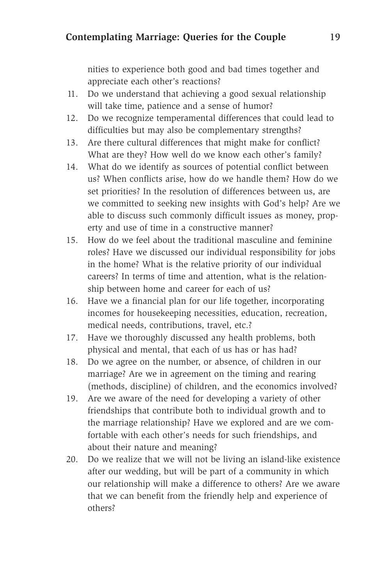nities to experience both good and bad times together and appreciate each other's reactions?

- 11. Do we understand that achieving a good sexual relationship will take time, patience and a sense of humor?
- 12. Do we recognize temperamental differences that could lead to difficulties but may also be complementary strengths?
- 13. Are there cultural differences that might make for conflict? What are they? How well do we know each other's family?
- 14. What do we identify as sources of potential conflict between us? When conflicts arise, how do we handle them? How do we set priorities? In the resolution of differences between us, are we committed to seeking new insights with God's help? Are we able to discuss such commonly difficult issues as money, property and use of time in a constructive manner?
- 15. How do we feel about the traditional masculine and feminine roles? Have we discussed our individual responsibility for jobs in the home? What is the relative priority of our individual careers? In terms of time and attention, what is the relationship between home and career for each of us?
- 16. Have we a financial plan for our life together, incorporating incomes for housekeeping necessities, education, recreation, medical needs, contributions, travel, etc.?
- 17. Have we thoroughly discussed any health problems, both physical and mental, that each of us has or has had?
- 18. Do we agree on the number, or absence, of children in our marriage? Are we in agreement on the timing and rearing (methods, discipline) of children, and the economics involved?
- 19. Are we aware of the need for developing a variety of other friendships that contribute both to individual growth and to the marriage relationship? Have we explored and are we comfortable with each other's needs for such friendships, and about their nature and meaning?
- 20. Do we realize that we will not be living an island-like existence after our wedding, but will be part of a community in which our relationship will make a difference to others? Are we aware that we can benefit from the friendly help and experience of others?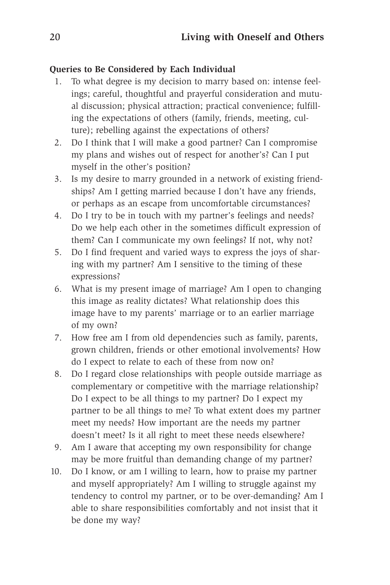#### **Queries to Be Considered by Each Individual**

- 1. To what degree is my decision to marry based on: intense feelings; careful, thoughtful and prayerful consideration and mutual discussion; physical attraction; practical convenience; fulfilling the expectations of others (family, friends, meeting, culture); rebelling against the expectations of others?
- 2. Do I think that I will make a good partner? Can I compromise my plans and wishes out of respect for another's? Can I put myself in the other's position?
- 3. Is my desire to marry grounded in a network of existing friendships? Am I getting married because I don't have any friends, or perhaps as an escape from uncomfortable circumstances?
- 4. Do I try to be in touch with my partner's feelings and needs? Do we help each other in the sometimes difficult expression of them? Can I communicate my own feelings? If not, why not?
- 5. Do I find frequent and varied ways to express the joys of sharing with my partner? Am I sensitive to the timing of these expressions?
- 6. What is my present image of marriage? Am I open to changing this image as reality dictates? What relationship does this image have to my parents' marriage or to an earlier marriage of my own?
- 7. How free am I from old dependencies such as family, parents, grown children, friends or other emotional involvements? How do I expect to relate to each of these from now on?
- 8. Do I regard close relationships with people outside marriage as complementary or competitive with the marriage relationship? Do I expect to be all things to my partner? Do I expect my partner to be all things to me? To what extent does my partner meet my needs? How important are the needs my partner doesn't meet? Is it all right to meet these needs elsewhere?
- 9. Am I aware that accepting my own responsibility for change may be more fruitful than demanding change of my partner?
- 10. Do I know, or am I willing to learn, how to praise my partner and myself appropriately? Am I willing to struggle against my tendency to control my partner, or to be over-demanding? Am I able to share responsibilities comfortably and not insist that it be done my way?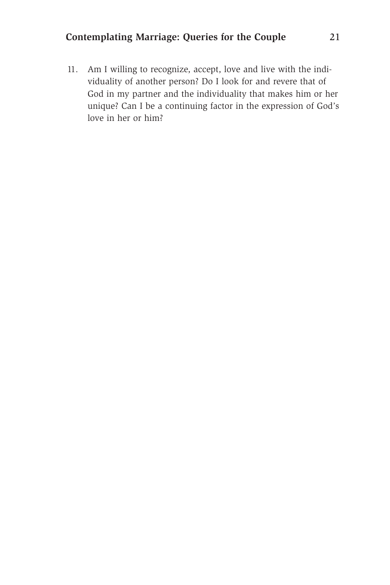#### **Contemplating Marriage: Queries for the Couple** 21

11. Am I willing to recognize, accept, love and live with the individuality of another person? Do I look for and revere that of God in my partner and the individuality that makes him or her unique? Can I be a continuing factor in the expression of God's love in her or him?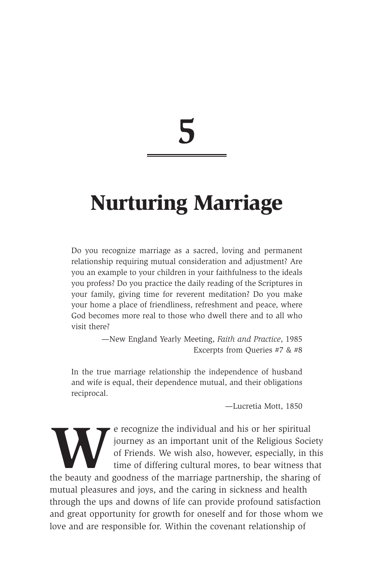## **Nurturing Marriage**

Do you recognize marriage as a sacred, loving and permanent relationship requiring mutual consideration and adjustment? Are you an example to your children in your faithfulness to the ideals you profess? Do you practice the daily reading of the Scriptures in your family, giving time for reverent meditation? Do you make your home a place of friendliness, refreshment and peace, where God becomes more real to those who dwell there and to all who visit there?

> —New England Yearly Meeting, *Faith and Practice*, 1985 Excerpts from Queries #7 & #8

In the true marriage relationship the independence of husband and wife is equal, their dependence mutual, and their obligations reciprocal.

—Lucretia Mott, 1850

Election and his or her spiritual in the selection of Friends. We wish also, however, especially, in the beauty and goodness of the marriage partnership, the sharing journey as an important unit of the Religious Society of Friends. We wish also, however, especially, in this time of differing cultural mores, to bear witness that the beauty and goodness of the marriage partnership, the sharing of mutual pleasures and joys, and the caring in sickness and health through the ups and downs of life can provide profound satisfaction and great opportunity for growth for oneself and for those whom we love and are responsible for. Within the covenant relationship of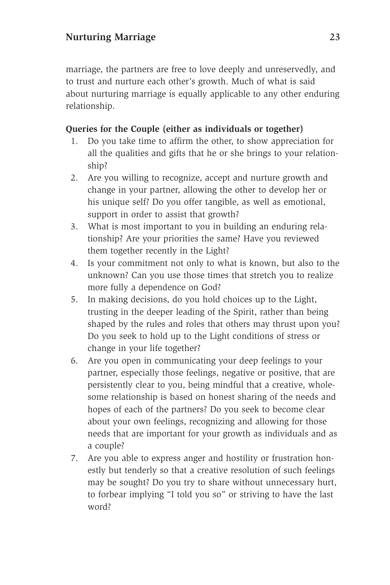marriage, the partners are free to love deeply and unreservedly, and to trust and nurture each other's growth. Much of what is said about nurturing marriage is equally applicable to any other enduring relationship.

#### **Queries for the Couple (either as individuals or together)**

- 1. Do you take time to affirm the other, to show appreciation for all the qualities and gifts that he or she brings to your relationship?
- 2. Are you willing to recognize, accept and nurture growth and change in your partner, allowing the other to develop her or his unique self? Do you offer tangible, as well as emotional, support in order to assist that growth?
- 3. What is most important to you in building an enduring relationship? Are your priorities the same? Have you reviewed them together recently in the Light?
- 4. Is your commitment not only to what is known, but also to the unknown? Can you use those times that stretch you to realize more fully a dependence on God?
- 5. In making decisions, do you hold choices up to the Light, trusting in the deeper leading of the Spirit, rather than being shaped by the rules and roles that others may thrust upon you? Do you seek to hold up to the Light conditions of stress or change in your life together?
- 6. Are you open in communicating your deep feelings to your partner, especially those feelings, negative or positive, that are persistently clear to you, being mindful that a creative, wholesome relationship is based on honest sharing of the needs and hopes of each of the partners? Do you seek to become clear about your own feelings, recognizing and allowing for those needs that are important for your growth as individuals and as a couple?
- 7. Are you able to express anger and hostility or frustration honestly but tenderly so that a creative resolution of such feelings may be sought? Do you try to share without unnecessary hurt, to forbear implying "I told you so" or striving to have the last word?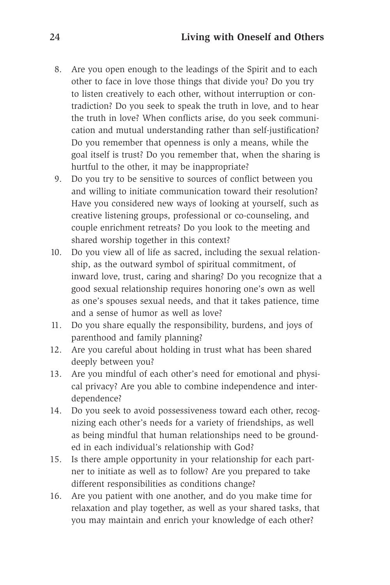- 8. Are you open enough to the leadings of the Spirit and to each other to face in love those things that divide you? Do you try to listen creatively to each other, without interruption or contradiction? Do you seek to speak the truth in love, and to hear the truth in love? When conflicts arise, do you seek communication and mutual understanding rather than self-justification? Do you remember that openness is only a means, while the goal itself is trust? Do you remember that, when the sharing is hurtful to the other, it may be inappropriate?
- 9. Do you try to be sensitive to sources of conflict between you and willing to initiate communication toward their resolution? Have you considered new ways of looking at yourself, such as creative listening groups, professional or co-counseling, and couple enrichment retreats? Do you look to the meeting and shared worship together in this context?
- 10. Do you view all of life as sacred, including the sexual relationship, as the outward symbol of spiritual commitment, of inward love, trust, caring and sharing? Do you recognize that a good sexual relationship requires honoring one's own as well as one's spouses sexual needs, and that it takes patience, time and a sense of humor as well as love?
- 11. Do you share equally the responsibility, burdens, and joys of parenthood and family planning?
- 12. Are you careful about holding in trust what has been shared deeply between you?
- 13. Are you mindful of each other's need for emotional and physical privacy? Are you able to combine independence and interdependence?
- 14. Do you seek to avoid possessiveness toward each other, recognizing each other's needs for a variety of friendships, as well as being mindful that human relationships need to be grounded in each individual's relationship with God?
- 15. Is there ample opportunity in your relationship for each partner to initiate as well as to follow? Are you prepared to take different responsibilities as conditions change?
- 16. Are you patient with one another, and do you make time for relaxation and play together, as well as your shared tasks, that you may maintain and enrich your knowledge of each other?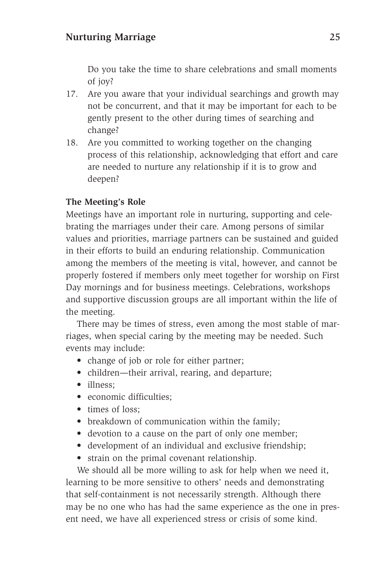Do you take the time to share celebrations and small moments of joy?

- 17. Are you aware that your individual searchings and growth may not be concurrent, and that it may be important for each to be gently present to the other during times of searching and change?
- 18. Are you committed to working together on the changing process of this relationship, acknowledging that effort and care are needed to nurture any relationship if it is to grow and deepen?

#### **The Meeting's Role**

Meetings have an important role in nurturing, supporting and celebrating the marriages under their care. Among persons of similar values and priorities, marriage partners can be sustained and guided in their efforts to build an enduring relationship. Communication among the members of the meeting is vital, however, and cannot be properly fostered if members only meet together for worship on First Day mornings and for business meetings. Celebrations, workshops and supportive discussion groups are all important within the life of the meeting.

There may be times of stress, even among the most stable of marriages, when special caring by the meeting may be needed. Such events may include:

- change of job or role for either partner;
- children—their arrival, rearing, and departure;
- illness:
- economic difficulties;
- times of loss:
- breakdown of communication within the family;
- devotion to a cause on the part of only one member;
- development of an individual and exclusive friendship;
- strain on the primal covenant relationship.

We should all be more willing to ask for help when we need it, learning to be more sensitive to others' needs and demonstrating that self-containment is not necessarily strength. Although there may be no one who has had the same experience as the one in present need, we have all experienced stress or crisis of some kind.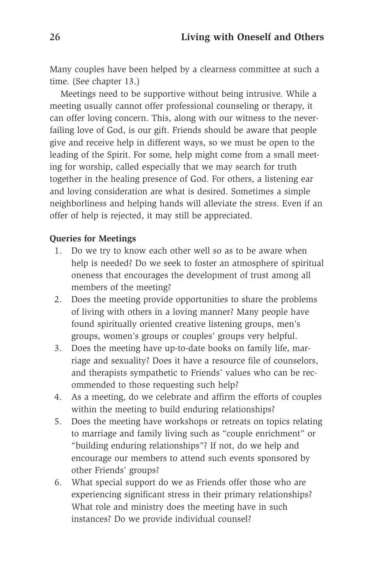Many couples have been helped by a clearness committee at such a time. (See chapter 13.)

Meetings need to be supportive without being intrusive. While a meeting usually cannot offer professional counseling or therapy, it can offer loving concern. This, along with our witness to the neverfailing love of God, is our gift. Friends should be aware that people give and receive help in different ways, so we must be open to the leading of the Spirit. For some, help might come from a small meeting for worship, called especially that we may search for truth together in the healing presence of God. For others, a listening ear and loving consideration are what is desired. Sometimes a simple neighborliness and helping hands will alleviate the stress. Even if an offer of help is rejected, it may still be appreciated.

#### **Queries for Meetings**

- 1. Do we try to know each other well so as to be aware when help is needed? Do we seek to foster an atmosphere of spiritual oneness that encourages the development of trust among all members of the meeting?
- 2. Does the meeting provide opportunities to share the problems of living with others in a loving manner? Many people have found spiritually oriented creative listening groups, men's groups, women's groups or couples' groups very helpful.
- 3. Does the meeting have up-to-date books on family life, marriage and sexuality? Does it have a resource file of counselors, and therapists sympathetic to Friends' values who can be recommended to those requesting such help?
- 4. As a meeting, do we celebrate and affirm the efforts of couples within the meeting to build enduring relationships?
- 5. Does the meeting have workshops or retreats on topics relating to marriage and family living such as "couple enrichment" or "building enduring relationships"? If not, do we help and encourage our members to attend such events sponsored by other Friends' groups?
- 6. What special support do we as Friends offer those who are experiencing significant stress in their primary relationships? What role and ministry does the meeting have in such instances? Do we provide individual counsel?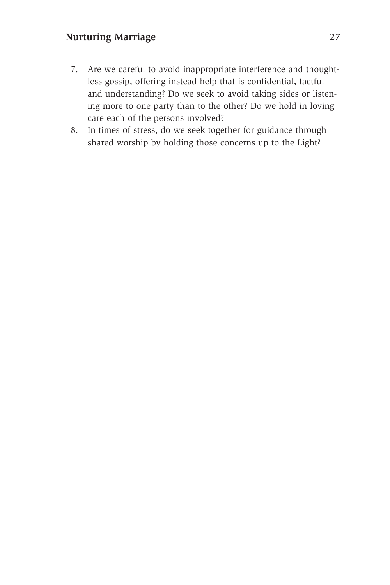#### **Nurturing Marriage** 27

- 7. Are we careful to avoid inappropriate interference and thoughtless gossip, offering instead help that is confidential, tactful and understanding? Do we seek to avoid taking sides or listening more to one party than to the other? Do we hold in loving care each of the persons involved?
- 8. In times of stress, do we seek together for guidance through shared worship by holding those concerns up to the Light?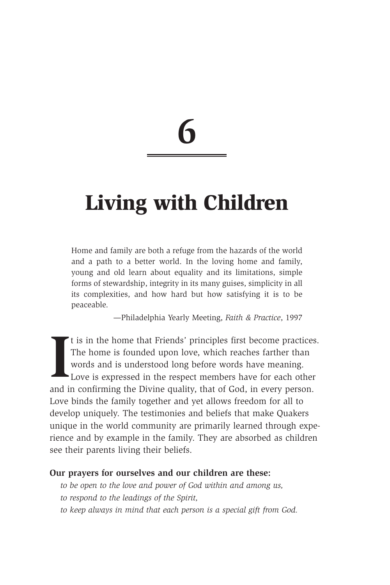## **Living with Children**

Home and family are both a refuge from the hazards of the world and a path to a better world. In the loving home and family, young and old learn about equality and its limitations, simple forms of stewardship, integrity in its many guises, simplicity in all its complexities, and how hard but how satisfying it is to be peaceable.

—Philadelphia Yearly Meeting, *Faith & Practice*, 1997

If is in the home that Friends' principles first become practice:<br>The home is founded upon love, which reaches farther than<br>words and is understood long before words have meaning.<br>Love is expressed in the respect members h t is in the home that Friends' principles first become practices. The home is founded upon love, which reaches farther than words and is understood long before words have meaning. Love is expressed in the respect members have for each other Love binds the family together and yet allows freedom for all to develop uniquely. The testimonies and beliefs that make Quakers unique in the world community are primarily learned through experience and by example in the family. They are absorbed as children see their parents living their beliefs.

#### **Our prayers for ourselves and our children are these:**

- *to be open to the love and power of God within and among us,*
- *to respond to the leadings of the Spirit,*
- *to keep always in mind that each person is a special gift from God.*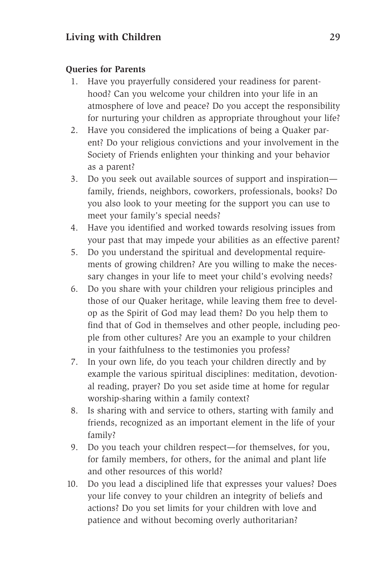#### **Queries for Parents**

- 1. Have you prayerfully considered your readiness for parenthood? Can you welcome your children into your life in an atmosphere of love and peace? Do you accept the responsibility for nurturing your children as appropriate throughout your life?
- 2. Have you considered the implications of being a Quaker parent? Do your religious convictions and your involvement in the Society of Friends enlighten your thinking and your behavior as a parent?
- 3. Do you seek out available sources of support and inspiration family, friends, neighbors, coworkers, professionals, books? Do you also look to your meeting for the support you can use to meet your family's special needs?
- 4. Have you identified and worked towards resolving issues from your past that may impede your abilities as an effective parent?
- 5. Do you understand the spiritual and developmental requirements of growing children? Are you willing to make the necessary changes in your life to meet your child's evolving needs?
- 6. Do you share with your children your religious principles and those of our Quaker heritage, while leaving them free to develop as the Spirit of God may lead them? Do you help them to find that of God in themselves and other people, including people from other cultures? Are you an example to your children in your faithfulness to the testimonies you profess?
- 7. In your own life, do you teach your children directly and by example the various spiritual disciplines: meditation, devotional reading, prayer? Do you set aside time at home for regular worship-sharing within a family context?
- 8. Is sharing with and service to others, starting with family and friends, recognized as an important element in the life of your family?
- 9. Do you teach your children respect—for themselves, for you, for family members, for others, for the animal and plant life and other resources of this world?
- 10. Do you lead a disciplined life that expresses your values? Does your life convey to your children an integrity of beliefs and actions? Do you set limits for your children with love and patience and without becoming overly authoritarian?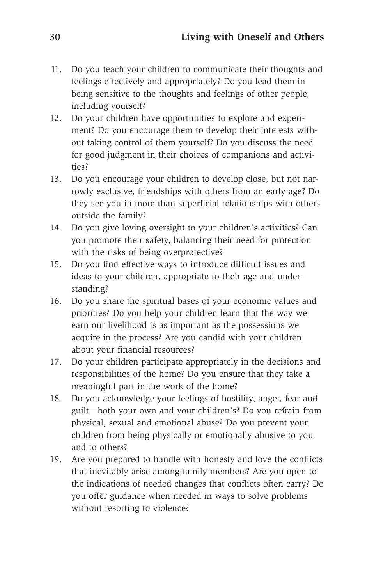- 11. Do you teach your children to communicate their thoughts and feelings effectively and appropriately? Do you lead them in being sensitive to the thoughts and feelings of other people, including yourself?
- 12. Do your children have opportunities to explore and experiment? Do you encourage them to develop their interests without taking control of them yourself? Do you discuss the need for good judgment in their choices of companions and activities?
- 13. Do you encourage your children to develop close, but not narrowly exclusive, friendships with others from an early age? Do they see you in more than superficial relationships with others outside the family?
- 14. Do you give loving oversight to your children's activities? Can you promote their safety, balancing their need for protection with the risks of being overprotective?
- 15. Do you find effective ways to introduce difficult issues and ideas to your children, appropriate to their age and understanding?
- 16. Do you share the spiritual bases of your economic values and priorities? Do you help your children learn that the way we earn our livelihood is as important as the possessions we acquire in the process? Are you candid with your children about your financial resources?
- 17. Do your children participate appropriately in the decisions and responsibilities of the home? Do you ensure that they take a meaningful part in the work of the home?
- 18. Do you acknowledge your feelings of hostility, anger, fear and guilt—both your own and your children's? Do you refrain from physical, sexual and emotional abuse? Do you prevent your children from being physically or emotionally abusive to you and to others?
- 19. Are you prepared to handle with honesty and love the conflicts that inevitably arise among family members? Are you open to the indications of needed changes that conflicts often carry? Do you offer guidance when needed in ways to solve problems without resorting to violence?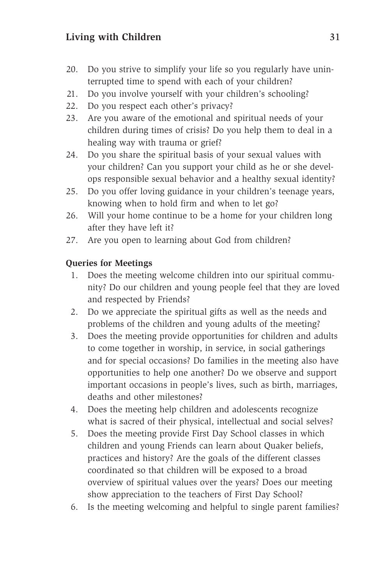#### Living with Children 31

- 20. Do you strive to simplify your life so you regularly have uninterrupted time to spend with each of your children?
- 21. Do you involve yourself with your children's schooling?
- 22. Do you respect each other's privacy?
- 23. Are you aware of the emotional and spiritual needs of your children during times of crisis? Do you help them to deal in a healing way with trauma or grief?
- 24. Do you share the spiritual basis of your sexual values with your children? Can you support your child as he or she develops responsible sexual behavior and a healthy sexual identity?
- 25. Do you offer loving guidance in your children's teenage years, knowing when to hold firm and when to let go?
- 26. Will your home continue to be a home for your children long after they have left it?
- 27. Are you open to learning about God from children?

#### **Queries for Meetings**

- 1. Does the meeting welcome children into our spiritual community? Do our children and young people feel that they are loved and respected by Friends?
- 2. Do we appreciate the spiritual gifts as well as the needs and problems of the children and young adults of the meeting?
- 3. Does the meeting provide opportunities for children and adults to come together in worship, in service, in social gatherings and for special occasions? Do families in the meeting also have opportunities to help one another? Do we observe and support important occasions in people's lives, such as birth, marriages, deaths and other milestones?
- 4. Does the meeting help children and adolescents recognize what is sacred of their physical, intellectual and social selves?
- 5. Does the meeting provide First Day School classes in which children and young Friends can learn about Quaker beliefs, practices and history? Are the goals of the different classes coordinated so that children will be exposed to a broad overview of spiritual values over the years? Does our meeting show appreciation to the teachers of First Day School?
- 6. Is the meeting welcoming and helpful to single parent families?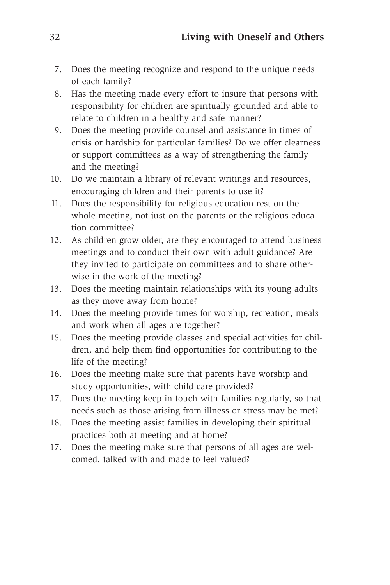- 7. Does the meeting recognize and respond to the unique needs of each family?
- 8. Has the meeting made every effort to insure that persons with responsibility for children are spiritually grounded and able to relate to children in a healthy and safe manner?
- 9. Does the meeting provide counsel and assistance in times of crisis or hardship for particular families? Do we offer clearness or support committees as a way of strengthening the family and the meeting?
- 10. Do we maintain a library of relevant writings and resources, encouraging children and their parents to use it?
- 11. Does the responsibility for religious education rest on the whole meeting, not just on the parents or the religious education committee?
- 12. As children grow older, are they encouraged to attend business meetings and to conduct their own with adult guidance? Are they invited to participate on committees and to share otherwise in the work of the meeting?
- 13. Does the meeting maintain relationships with its young adults as they move away from home?
- 14. Does the meeting provide times for worship, recreation, meals and work when all ages are together?
- 15. Does the meeting provide classes and special activities for children, and help them find opportunities for contributing to the life of the meeting?
- 16. Does the meeting make sure that parents have worship and study opportunities, with child care provided?
- 17. Does the meeting keep in touch with families regularly, so that needs such as those arising from illness or stress may be met?
- 18. Does the meeting assist families in developing their spiritual practices both at meeting and at home?
- 17. Does the meeting make sure that persons of all ages are welcomed, talked with and made to feel valued?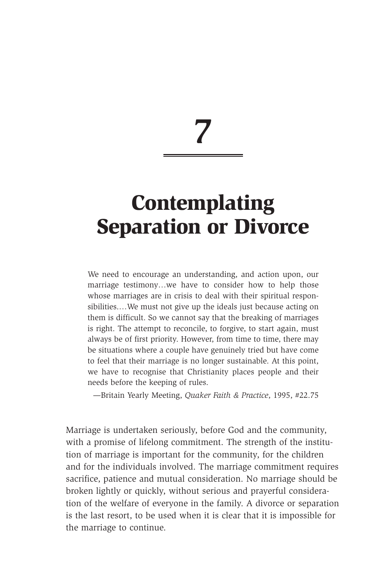## **Contemplating Separation or Divorce**

We need to encourage an understanding, and action upon, our marriage testimony…we have to consider how to help those whose marriages are in crisis to deal with their spiritual responsibilities.…We must not give up the ideals just because acting on them is difficult. So we cannot say that the breaking of marriages is right. The attempt to reconcile, to forgive, to start again, must always be of first priority. However, from time to time, there may be situations where a couple have genuinely tried but have come to feel that their marriage is no longer sustainable. At this point, we have to recognise that Christianity places people and their needs before the keeping of rules.

—Britain Yearly Meeting, *Quaker Faith & Practice*, 1995, #22.75

Marriage is undertaken seriously, before God and the community, with a promise of lifelong commitment. The strength of the institution of marriage is important for the community, for the children and for the individuals involved. The marriage commitment requires sacrifice, patience and mutual consideration. No marriage should be broken lightly or quickly, without serious and prayerful consideration of the welfare of everyone in the family. A divorce or separation is the last resort, to be used when it is clear that it is impossible for the marriage to continue.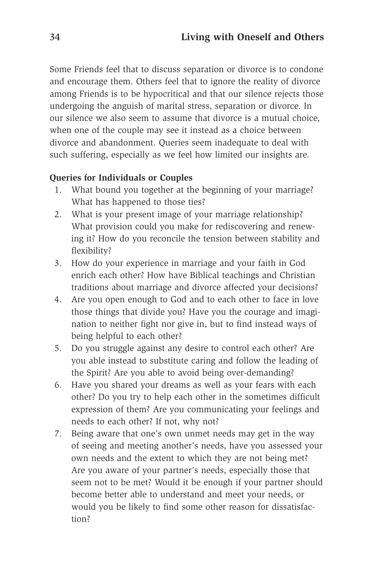Some Friends feel that to discuss separation or divorce is to condone and encourage them. Others feel that to ignore the reality of divorce among Friends is to be hypocritical and that our silence rejects those undergoing the anguish of marital stress, separation or divorce. In our silence we also seem to assume that divorce is a mutual choice, when one of the couple may see it instead as a choice between divorce and abandonment. Queries seem inadequate to deal with such suffering, especially as we feel how limited our insights are.

### **Queries for Individuals or Couples**

- 1. What bound you together at the beginning of your marriage? What has happened to those ties?
- 2. What is your present image of your marriage relationship? What provision could you make for rediscovering and renewing it? How do you reconcile the tension between stability and flexibility?
- 3. How do your experience in marriage and your faith in God enrich each other? How have Biblical teachings and Christian traditions about marriage and divorce affected your decisions?
- 4. Are you open enough to God and to each other to face in love those things that divide you? Have you the courage and imagination to neither fight nor give in, but to find instead ways of being helpful to each other?
- 5. Do you struggle against any desire to control each other? Are you able instead to substitute caring and follow the leading of the Spirit? Are you able to avoid being over-demanding?
- 6. Have you shared your dreams as well as your fears with each other? Do you try to help each other in the sometimes difficult expression of them? Are you communicating your feelings and needs to each other? If not, why not?
- 7. Being aware that one's own unmet needs may get in the way of seeing and meeting another's needs, have you assessed your own needs and the extent to which they are not being met? Are you aware of your partner's needs, especially those that seem not to be met? Would it be enough if your partner should become better able to understand and meet your needs, or would you be likely to find some other reason for dissatisfaction?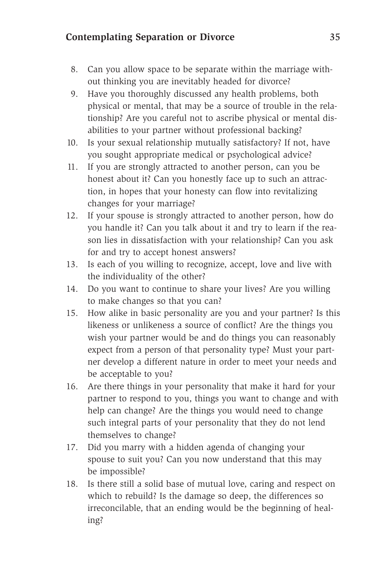### **Contemplating Separation or Divorce** 35

- 8. Can you allow space to be separate within the marriage without thinking you are inevitably headed for divorce?
- 9. Have you thoroughly discussed any health problems, both physical or mental, that may be a source of trouble in the relationship? Are you careful not to ascribe physical or mental disabilities to your partner without professional backing?
- 10. Is your sexual relationship mutually satisfactory? If not, have you sought appropriate medical or psychological advice?
- 11. If you are strongly attracted to another person, can you be honest about it? Can you honestly face up to such an attraction, in hopes that your honesty can flow into revitalizing changes for your marriage?
- 12. If your spouse is strongly attracted to another person, how do you handle it? Can you talk about it and try to learn if the reason lies in dissatisfaction with your relationship? Can you ask for and try to accept honest answers?
- 13. Is each of you willing to recognize, accept, love and live with the individuality of the other?
- 14. Do you want to continue to share your lives? Are you willing to make changes so that you can?
- 15. How alike in basic personality are you and your partner? Is this likeness or unlikeness a source of conflict? Are the things you wish your partner would be and do things you can reasonably expect from a person of that personality type? Must your partner develop a different nature in order to meet your needs and be acceptable to you?
- 16. Are there things in your personality that make it hard for your partner to respond to you, things you want to change and with help can change? Are the things you would need to change such integral parts of your personality that they do not lend themselves to change?
- 17. Did you marry with a hidden agenda of changing your spouse to suit you? Can you now understand that this may be impossible?
- 18. Is there still a solid base of mutual love, caring and respect on which to rebuild? Is the damage so deep, the differences so irreconcilable, that an ending would be the beginning of healing?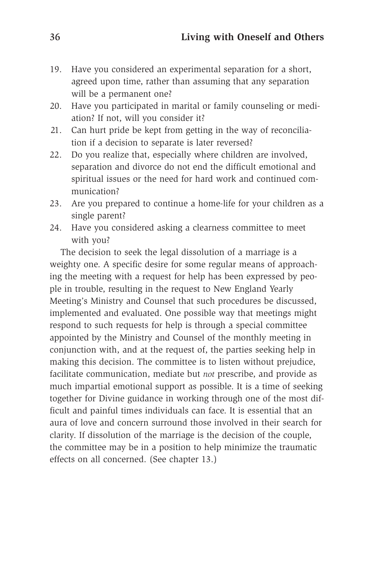- 19. Have you considered an experimental separation for a short, agreed upon time, rather than assuming that any separation will be a permanent one?
- 20. Have you participated in marital or family counseling or mediation? If not, will you consider it?
- 21. Can hurt pride be kept from getting in the way of reconciliation if a decision to separate is later reversed?
- 22. Do you realize that, especially where children are involved, separation and divorce do not end the difficult emotional and spiritual issues or the need for hard work and continued communication?
- 23. Are you prepared to continue a home-life for your children as a single parent?
- 24. Have you considered asking a clearness committee to meet with you?

The decision to seek the legal dissolution of a marriage is a weighty one. A specific desire for some regular means of approaching the meeting with a request for help has been expressed by people in trouble, resulting in the request to New England Yearly Meeting's Ministry and Counsel that such procedures be discussed, implemented and evaluated. One possible way that meetings might respond to such requests for help is through a special committee appointed by the Ministry and Counsel of the monthly meeting in conjunction with, and at the request of, the parties seeking help in making this decision. The committee is to listen without prejudice, facilitate communication, mediate but *not* prescribe, and provide as much impartial emotional support as possible. It is a time of seeking together for Divine guidance in working through one of the most difficult and painful times individuals can face. It is essential that an aura of love and concern surround those involved in their search for clarity. If dissolution of the marriage is the decision of the couple, the committee may be in a position to help minimize the traumatic effects on all concerned. (See chapter 13.)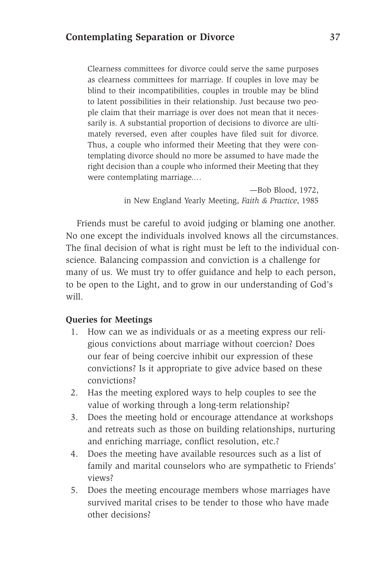Clearness committees for divorce could serve the same purposes as clearness committees for marriage. If couples in love may be blind to their incompatibilities, couples in trouble may be blind to latent possibilities in their relationship. Just because two people claim that their marriage is over does not mean that it necessarily is. A substantial proportion of decisions to divorce are ultimately reversed, even after couples have filed suit for divorce. Thus, a couple who informed their Meeting that they were contemplating divorce should no more be assumed to have made the right decision than a couple who informed their Meeting that they were contemplating marriage.…

> —Bob Blood, 1972, in New England Yearly Meeting, *Faith & Practice*, 1985

Friends must be careful to avoid judging or blaming one another. No one except the individuals involved knows all the circumstances. The final decision of what is right must be left to the individual conscience. Balancing compassion and conviction is a challenge for many of us. We must try to offer guidance and help to each person, to be open to the Light, and to grow in our understanding of God's will.

### **Queries for Meetings**

- 1. How can we as individuals or as a meeting express our religious convictions about marriage without coercion? Does our fear of being coercive inhibit our expression of these convictions? Is it appropriate to give advice based on these convictions?
- 2. Has the meeting explored ways to help couples to see the value of working through a long-term relationship?
- 3. Does the meeting hold or encourage attendance at workshops and retreats such as those on building relationships, nurturing and enriching marriage, conflict resolution, etc.?
- 4. Does the meeting have available resources such as a list of family and marital counselors who are sympathetic to Friends' views?
- 5. Does the meeting encourage members whose marriages have survived marital crises to be tender to those who have made other decisions?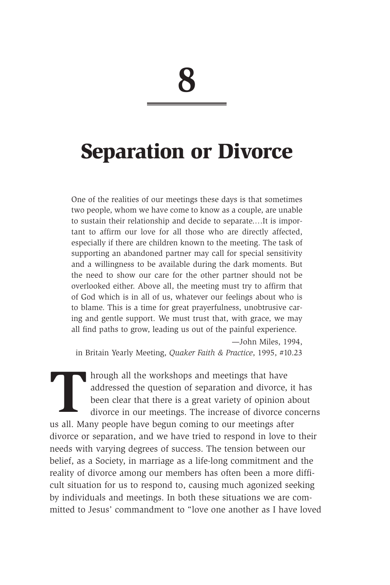### **Separation or Divorce**

One of the realities of our meetings these days is that sometimes two people, whom we have come to know as a couple, are unable to sustain their relationship and decide to separate.…It is important to affirm our love for all those who are directly affected, especially if there are children known to the meeting. The task of supporting an abandoned partner may call for special sensitivity and a willingness to be available during the dark moments. But the need to show our care for the other partner should not be overlooked either. Above all, the meeting must try to affirm that of God which is in all of us, whatever our feelings about who is to blame. This is a time for great prayerfulness, unobtrusive caring and gentle support. We must trust that, with grace, we may all find paths to grow, leading us out of the painful experience.

—John Miles, 1994, in Britain Yearly Meeting, *Quaker Faith & Practice*, 1995, #10.23

In all the workshops and meetings that have<br>addressed the question of separation and divorce,<br>been clear that there is a great variety of opinion<br>divorce in our meetings. The increase of divorce c<br>use all Many people have addressed the question of separation and divorce, it has been clear that there is a great variety of opinion about divorce in our meetings. The increase of divorce concerns us all. Many people have begun coming to our meetings after divorce or separation, and we have tried to respond in love to their needs with varying degrees of success. The tension between our belief, as a Society, in marriage as a life-long commitment and the reality of divorce among our members has often been a more difficult situation for us to respond to, causing much agonized seeking by individuals and meetings. In both these situations we are committed to Jesus' commandment to "love one another as I have loved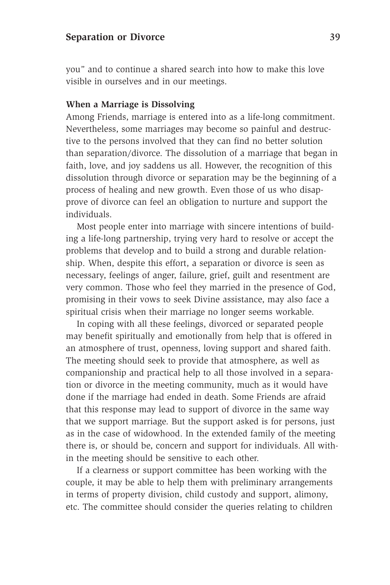you" and to continue a shared search into how to make this love visible in ourselves and in our meetings.

#### **When a Marriage is Dissolving**

Among Friends, marriage is entered into as a life-long commitment. Nevertheless, some marriages may become so painful and destructive to the persons involved that they can find no better solution than separation/divorce. The dissolution of a marriage that began in faith, love, and joy saddens us all. However, the recognition of this dissolution through divorce or separation may be the beginning of a process of healing and new growth. Even those of us who disapprove of divorce can feel an obligation to nurture and support the individuals.

Most people enter into marriage with sincere intentions of building a life-long partnership, trying very hard to resolve or accept the problems that develop and to build a strong and durable relationship. When, despite this effort, a separation or divorce is seen as necessary, feelings of anger, failure, grief, guilt and resentment are very common. Those who feel they married in the presence of God, promising in their vows to seek Divine assistance, may also face a spiritual crisis when their marriage no longer seems workable.

In coping with all these feelings, divorced or separated people may benefit spiritually and emotionally from help that is offered in an atmosphere of trust, openness, loving support and shared faith. The meeting should seek to provide that atmosphere, as well as companionship and practical help to all those involved in a separation or divorce in the meeting community, much as it would have done if the marriage had ended in death. Some Friends are afraid that this response may lead to support of divorce in the same way that we support marriage. But the support asked is for persons, just as in the case of widowhood. In the extended family of the meeting there is, or should be, concern and support for individuals. All within the meeting should be sensitive to each other.

If a clearness or support committee has been working with the couple, it may be able to help them with preliminary arrangements in terms of property division, child custody and support, alimony, etc. The committee should consider the queries relating to children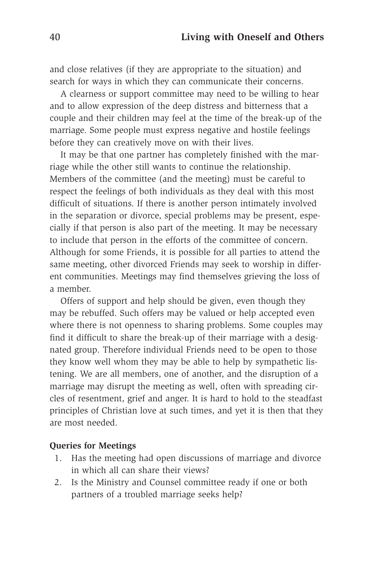and close relatives (if they are appropriate to the situation) and search for ways in which they can communicate their concerns.

A clearness or support committee may need to be willing to hear and to allow expression of the deep distress and bitterness that a couple and their children may feel at the time of the break-up of the marriage. Some people must express negative and hostile feelings before they can creatively move on with their lives.

It may be that one partner has completely finished with the marriage while the other still wants to continue the relationship. Members of the committee (and the meeting) must be careful to respect the feelings of both individuals as they deal with this most difficult of situations. If there is another person intimately involved in the separation or divorce, special problems may be present, especially if that person is also part of the meeting. It may be necessary to include that person in the efforts of the committee of concern. Although for some Friends, it is possible for all parties to attend the same meeting, other divorced Friends may seek to worship in different communities. Meetings may find themselves grieving the loss of a member.

Offers of support and help should be given, even though they may be rebuffed. Such offers may be valued or help accepted even where there is not openness to sharing problems. Some couples may find it difficult to share the break-up of their marriage with a designated group. Therefore individual Friends need to be open to those they know well whom they may be able to help by sympathetic listening. We are all members, one of another, and the disruption of a marriage may disrupt the meeting as well, often with spreading circles of resentment, grief and anger. It is hard to hold to the steadfast principles of Christian love at such times, and yet it is then that they are most needed.

### **Queries for Meetings**

- 1. Has the meeting had open discussions of marriage and divorce in which all can share their views?
- 2. Is the Ministry and Counsel committee ready if one or both partners of a troubled marriage seeks help?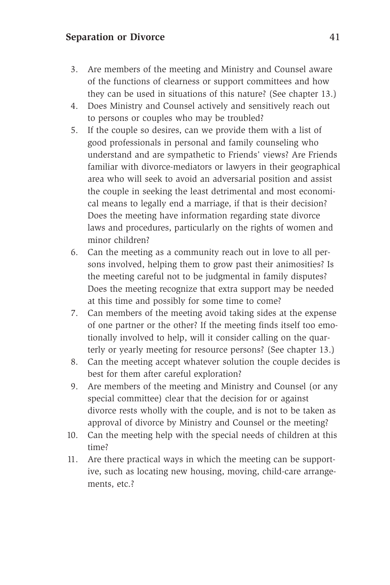### **Separation or Divorce** 41

- 3. Are members of the meeting and Ministry and Counsel aware of the functions of clearness or support committees and how they can be used in situations of this nature? (See chapter 13.)
- 4. Does Ministry and Counsel actively and sensitively reach out to persons or couples who may be troubled?
- 5. If the couple so desires, can we provide them with a list of good professionals in personal and family counseling who understand and are sympathetic to Friends' views? Are Friends familiar with divorce-mediators or lawyers in their geographical area who will seek to avoid an adversarial position and assist the couple in seeking the least detrimental and most economical means to legally end a marriage, if that is their decision? Does the meeting have information regarding state divorce laws and procedures, particularly on the rights of women and minor children?
- 6. Can the meeting as a community reach out in love to all persons involved, helping them to grow past their animosities? Is the meeting careful not to be judgmental in family disputes? Does the meeting recognize that extra support may be needed at this time and possibly for some time to come?
- 7. Can members of the meeting avoid taking sides at the expense of one partner or the other? If the meeting finds itself too emotionally involved to help, will it consider calling on the quarterly or yearly meeting for resource persons? (See chapter 13.)
- 8. Can the meeting accept whatever solution the couple decides is best for them after careful exploration?
- 9. Are members of the meeting and Ministry and Counsel (or any special committee) clear that the decision for or against divorce rests wholly with the couple, and is not to be taken as approval of divorce by Ministry and Counsel or the meeting?
- 10. Can the meeting help with the special needs of children at this time?
- 11. Are there practical ways in which the meeting can be supportive, such as locating new housing, moving, child-care arrangements, etc.?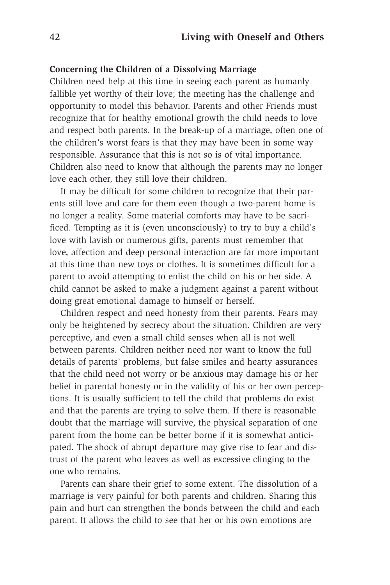#### **Concerning the Children of a Dissolving Marriage**

Children need help at this time in seeing each parent as humanly fallible yet worthy of their love; the meeting has the challenge and opportunity to model this behavior. Parents and other Friends must recognize that for healthy emotional growth the child needs to love and respect both parents. In the break-up of a marriage, often one of the children's worst fears is that they may have been in some way responsible. Assurance that this is not so is of vital importance. Children also need to know that although the parents may no longer love each other, they still love their children.

It may be difficult for some children to recognize that their parents still love and care for them even though a two-parent home is no longer a reality. Some material comforts may have to be sacrificed. Tempting as it is (even unconsciously) to try to buy a child's love with lavish or numerous gifts, parents must remember that love, affection and deep personal interaction are far more important at this time than new toys or clothes. It is sometimes difficult for a parent to avoid attempting to enlist the child on his or her side. A child cannot be asked to make a judgment against a parent without doing great emotional damage to himself or herself.

Children respect and need honesty from their parents. Fears may only be heightened by secrecy about the situation. Children are very perceptive, and even a small child senses when all is not well between parents. Children neither need nor want to know the full details of parents' problems, but false smiles and hearty assurances that the child need not worry or be anxious may damage his or her belief in parental honesty or in the validity of his or her own perceptions. It is usually sufficient to tell the child that problems do exist and that the parents are trying to solve them. If there is reasonable doubt that the marriage will survive, the physical separation of one parent from the home can be better borne if it is somewhat anticipated. The shock of abrupt departure may give rise to fear and distrust of the parent who leaves as well as excessive clinging to the one who remains.

Parents can share their grief to some extent. The dissolution of a marriage is very painful for both parents and children. Sharing this pain and hurt can strengthen the bonds between the child and each parent. It allows the child to see that her or his own emotions are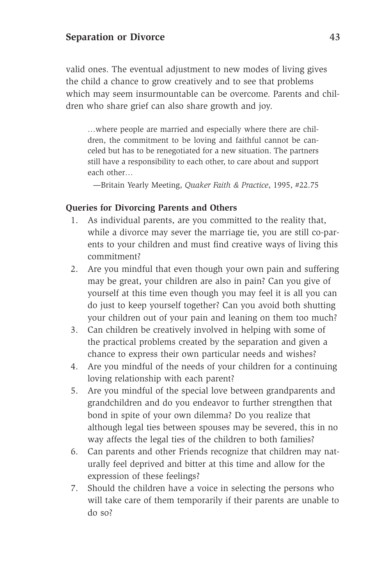valid ones. The eventual adjustment to new modes of living gives the child a chance to grow creatively and to see that problems which may seem insurmountable can be overcome. Parents and children who share grief can also share growth and joy.

…where people are married and especially where there are children, the commitment to be loving and faithful cannot be canceled but has to be renegotiated for a new situation. The partners still have a responsibility to each other, to care about and support each other…

—Britain Yearly Meeting, *Quaker Faith & Practice*, 1995, #22.75

### **Queries for Divorcing Parents and Others**

- 1. As individual parents, are you committed to the reality that, while a divorce may sever the marriage tie, you are still co-parents to your children and must find creative ways of living this commitment?
- 2. Are you mindful that even though your own pain and suffering may be great, your children are also in pain? Can you give of yourself at this time even though you may feel it is all you can do just to keep yourself together? Can you avoid both shutting your children out of your pain and leaning on them too much?
- 3. Can children be creatively involved in helping with some of the practical problems created by the separation and given a chance to express their own particular needs and wishes?
- 4. Are you mindful of the needs of your children for a continuing loving relationship with each parent?
- 5. Are you mindful of the special love between grandparents and grandchildren and do you endeavor to further strengthen that bond in spite of your own dilemma? Do you realize that although legal ties between spouses may be severed, this in no way affects the legal ties of the children to both families?
- 6. Can parents and other Friends recognize that children may naturally feel deprived and bitter at this time and allow for the expression of these feelings?
- 7. Should the children have a voice in selecting the persons who will take care of them temporarily if their parents are unable to do so?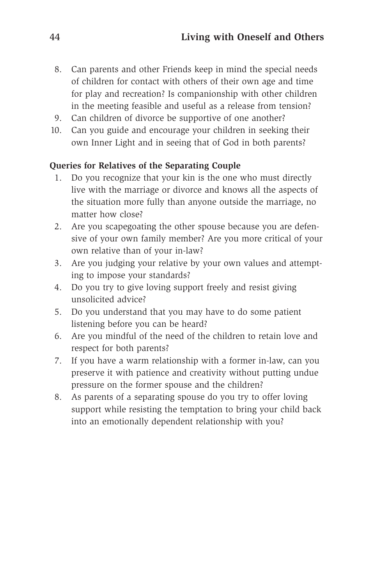- 8. Can parents and other Friends keep in mind the special needs of children for contact with others of their own age and time for play and recreation? Is companionship with other children in the meeting feasible and useful as a release from tension?
- 9. Can children of divorce be supportive of one another?
- 10. Can you guide and encourage your children in seeking their own Inner Light and in seeing that of God in both parents?

### **Queries for Relatives of the Separating Couple**

- 1. Do you recognize that your kin is the one who must directly live with the marriage or divorce and knows all the aspects of the situation more fully than anyone outside the marriage, no matter how close?
- 2. Are you scapegoating the other spouse because you are defensive of your own family member? Are you more critical of your own relative than of your in-law?
- 3. Are you judging your relative by your own values and attempting to impose your standards?
- 4. Do you try to give loving support freely and resist giving unsolicited advice?
- 5. Do you understand that you may have to do some patient listening before you can be heard?
- 6. Are you mindful of the need of the children to retain love and respect for both parents?
- 7. If you have a warm relationship with a former in-law, can you preserve it with patience and creativity without putting undue pressure on the former spouse and the children?
- 8. As parents of a separating spouse do you try to offer loving support while resisting the temptation to bring your child back into an emotionally dependent relationship with you?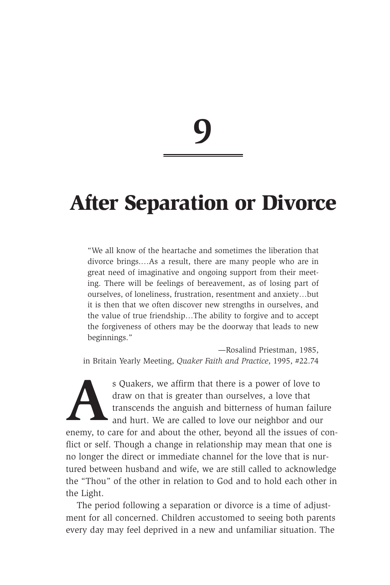## **After Separation or Divorce**

"We all know of the heartache and sometimes the liberation that divorce brings.…As a result, there are many people who are in great need of imaginative and ongoing support from their meeting. There will be feelings of bereavement, as of losing part of ourselves, of loneliness, frustration, resentment and anxiety…but it is then that we often discover new strengths in ourselves, and the value of true friendship…The ability to forgive and to accept the forgiveness of others may be the doorway that leads to new beginnings."

—Rosalind Priestman, 1985, in Britain Yearly Meeting, *Quaker Faith and Practice*, 1995, #22.74

s Quakers, we affirm that there is a power of love to draw on that is greater than ourselves, a love that transcends the anguish and bitterness of human fail and hurt. We are called to love our neighbor and ou draw on that is greater than ourselves, a love that transcends the anguish and bitterness of human failure and hurt. We are called to love our neighbor and our enemy, to care for and about the other, beyond all the issues of conflict or self. Though a change in relationship may mean that one is no longer the direct or immediate channel for the love that is nurtured between husband and wife, we are still called to acknowledge the "Thou" of the other in relation to God and to hold each other in the Light.

The period following a separation or divorce is a time of adjustment for all concerned. Children accustomed to seeing both parents every day may feel deprived in a new and unfamiliar situation. The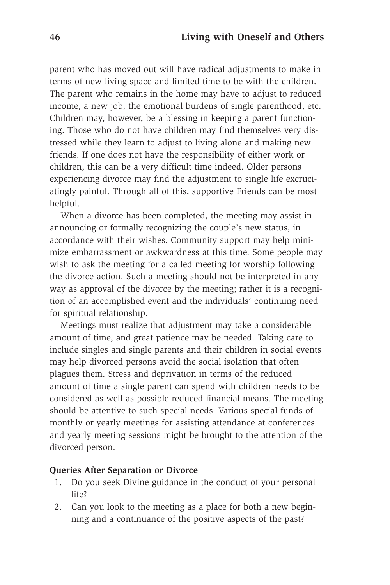parent who has moved out will have radical adjustments to make in terms of new living space and limited time to be with the children. The parent who remains in the home may have to adjust to reduced income, a new job, the emotional burdens of single parenthood, etc. Children may, however, be a blessing in keeping a parent functioning. Those who do not have children may find themselves very distressed while they learn to adjust to living alone and making new friends. If one does not have the responsibility of either work or children, this can be a very difficult time indeed. Older persons experiencing divorce may find the adjustment to single life excruciatingly painful. Through all of this, supportive Friends can be most helpful.

When a divorce has been completed, the meeting may assist in announcing or formally recognizing the couple's new status, in accordance with their wishes. Community support may help minimize embarrassment or awkwardness at this time. Some people may wish to ask the meeting for a called meeting for worship following the divorce action. Such a meeting should not be interpreted in any way as approval of the divorce by the meeting; rather it is a recognition of an accomplished event and the individuals' continuing need for spiritual relationship.

Meetings must realize that adjustment may take a considerable amount of time, and great patience may be needed. Taking care to include singles and single parents and their children in social events may help divorced persons avoid the social isolation that often plagues them. Stress and deprivation in terms of the reduced amount of time a single parent can spend with children needs to be considered as well as possible reduced financial means. The meeting should be attentive to such special needs. Various special funds of monthly or yearly meetings for assisting attendance at conferences and yearly meeting sessions might be brought to the attention of the divorced person.

#### **Queries After Separation or Divorce**

- 1. Do you seek Divine guidance in the conduct of your personal life?
- 2. Can you look to the meeting as a place for both a new beginning and a continuance of the positive aspects of the past?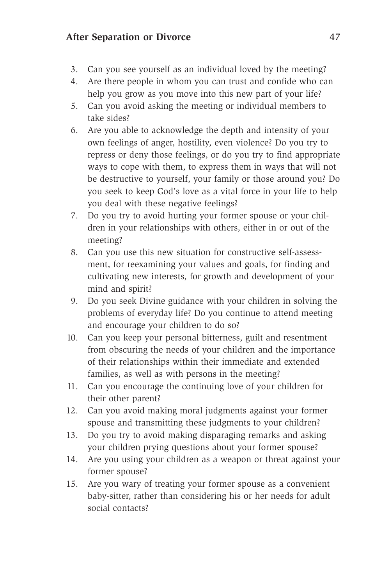### **After Separation or Divorce** 47

- 3. Can you see yourself as an individual loved by the meeting?
- 4. Are there people in whom you can trust and confide who can help you grow as you move into this new part of your life?
- 5. Can you avoid asking the meeting or individual members to take sides?
- 6. Are you able to acknowledge the depth and intensity of your own feelings of anger, hostility, even violence? Do you try to repress or deny those feelings, or do you try to find appropriate ways to cope with them, to express them in ways that will not be destructive to yourself, your family or those around you? Do you seek to keep God's love as a vital force in your life to help you deal with these negative feelings?
- 7. Do you try to avoid hurting your former spouse or your children in your relationships with others, either in or out of the meeting?
- 8. Can you use this new situation for constructive self-assessment, for reexamining your values and goals, for finding and cultivating new interests, for growth and development of your mind and spirit?
- 9. Do you seek Divine guidance with your children in solving the problems of everyday life? Do you continue to attend meeting and encourage your children to do so?
- 10. Can you keep your personal bitterness, guilt and resentment from obscuring the needs of your children and the importance of their relationships within their immediate and extended families, as well as with persons in the meeting?
- 11. Can you encourage the continuing love of your children for their other parent?
- 12. Can you avoid making moral judgments against your former spouse and transmitting these judgments to your children?
- 13. Do you try to avoid making disparaging remarks and asking your children prying questions about your former spouse?
- 14. Are you using your children as a weapon or threat against your former spouse?
- 15. Are you wary of treating your former spouse as a convenient baby-sitter, rather than considering his or her needs for adult social contacts?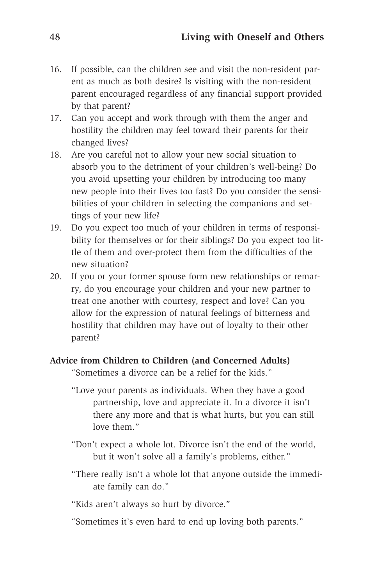- 16. If possible, can the children see and visit the non-resident parent as much as both desire? Is visiting with the non-resident parent encouraged regardless of any financial support provided by that parent?
- 17. Can you accept and work through with them the anger and hostility the children may feel toward their parents for their changed lives?
- 18. Are you careful not to allow your new social situation to absorb you to the detriment of your children's well-being? Do you avoid upsetting your children by introducing too many new people into their lives too fast? Do you consider the sensibilities of your children in selecting the companions and settings of your new life?
- 19. Do you expect too much of your children in terms of responsibility for themselves or for their siblings? Do you expect too little of them and over-protect them from the difficulties of the new situation?
- 20. If you or your former spouse form new relationships or remarry, do you encourage your children and your new partner to treat one another with courtesy, respect and love? Can you allow for the expression of natural feelings of bitterness and hostility that children may have out of loyalty to their other parent?

### **Advice from Children to Children (and Concerned Adults)**

"Sometimes a divorce can be a relief for the kids."

- "Love your parents as individuals. When they have a good partnership, love and appreciate it. In a divorce it isn't there any more and that is what hurts, but you can still love them."
- "Don't expect a whole lot. Divorce isn't the end of the world, but it won't solve all a family's problems, either."
- "There really isn't a whole lot that anyone outside the immediate family can do."

"Kids aren't always so hurt by divorce."

"Sometimes it's even hard to end up loving both parents."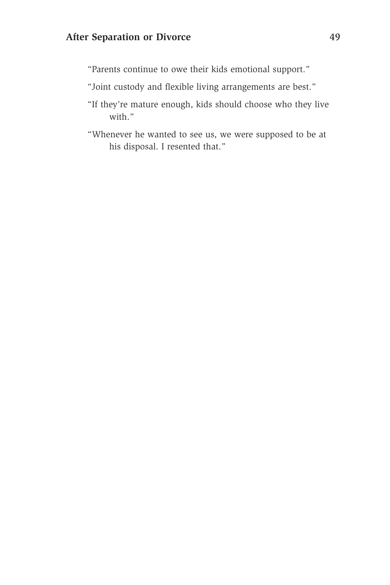"Parents continue to owe their kids emotional support."

"Joint custody and flexible living arrangements are best."

- "If they're mature enough, kids should choose who they live with."
- "Whenever he wanted to see us, we were supposed to be at his disposal. I resented that."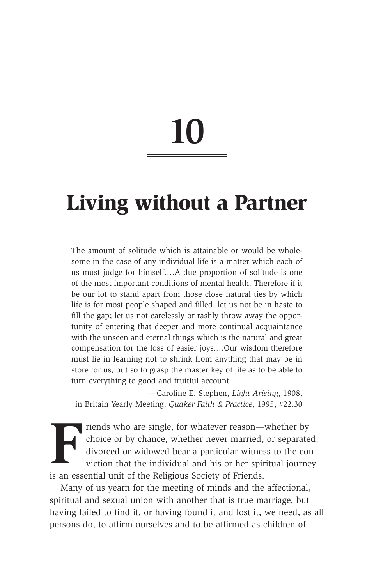## **Living without a Partner**

The amount of solitude which is attainable or would be wholesome in the case of any individual life is a matter which each of us must judge for himself.…A due proportion of solitude is one of the most important conditions of mental health. Therefore if it be our lot to stand apart from those close natural ties by which life is for most people shaped and filled, let us not be in haste to fill the gap; let us not carelessly or rashly throw away the opportunity of entering that deeper and more continual acquaintance with the unseen and eternal things which is the natural and great compensation for the loss of easier joys.…Our wisdom therefore must lie in learning not to shrink from anything that may be in store for us, but so to grasp the master key of life as to be able to turn everything to good and fruitful account.

—Caroline E. Stephen, *Light Arising*, 1908, in Britain Yearly Meeting, *Quaker Faith & Practice*, 1995, #22.30

Friends who are single, for whatever reason—whether by choice or by chance, whether never married, or separate divorced or widowed bear a particular witness to the coviction that the individual and his or her spiritual jou choice or by chance, whether never married, or separated, divorced or widowed bear a particular witness to the conviction that the individual and his or her spiritual journey is an essential unit of the Religious Society of Friends.

Many of us yearn for the meeting of minds and the affectional, spiritual and sexual union with another that is true marriage, but having failed to find it, or having found it and lost it, we need, as all persons do, to affirm ourselves and to be affirmed as children of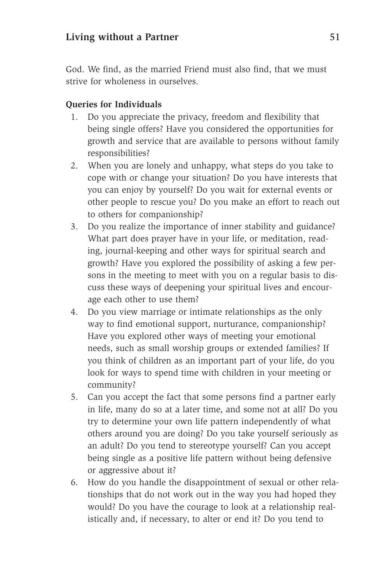God. We find, as the married Friend must also find, that we must strive for wholeness in ourselves.

### **Queries for Individuals**

- 1. Do you appreciate the privacy, freedom and flexibility that being single offers? Have you considered the opportunities for growth and service that are available to persons without family responsibilities?
- 2. When you are lonely and unhappy, what steps do you take to cope with or change your situation? Do you have interests that you can enjoy by yourself? Do you wait for external events or other people to rescue you? Do you make an effort to reach out to others for companionship?
- 3. Do you realize the importance of inner stability and guidance? What part does prayer have in your life, or meditation, reading, journal-keeping and other ways for spiritual search and growth? Have you explored the possibility of asking a few persons in the meeting to meet with you on a regular basis to discuss these ways of deepening your spiritual lives and encourage each other to use them?
- 4. Do you view marriage or intimate relationships as the only way to find emotional support, nurturance, companionship? Have you explored other ways of meeting your emotional needs, such as small worship groups or extended families? If you think of children as an important part of your life, do you look for ways to spend time with children in your meeting or community?
- 5. Can you accept the fact that some persons find a partner early in life, many do so at a later time, and some not at all? Do you try to determine your own life pattern independently of what others around you are doing? Do you take yourself seriously as an adult? Do you tend to stereotype yourself? Can you accept being single as a positive life pattern without being defensive or aggressive about it?
- 6. How do you handle the disappointment of sexual or other relationships that do not work out in the way you had hoped they would? Do you have the courage to look at a relationship realistically and, if necessary, to alter or end it? Do you tend to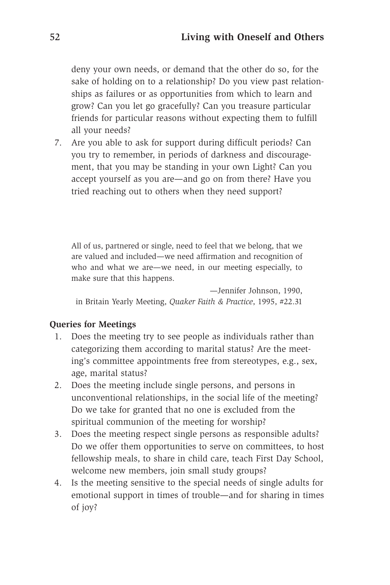deny your own needs, or demand that the other do so, for the sake of holding on to a relationship? Do you view past relationships as failures or as opportunities from which to learn and grow? Can you let go gracefully? Can you treasure particular friends for particular reasons without expecting them to fulfill all your needs?

7. Are you able to ask for support during difficult periods? Can you try to remember, in periods of darkness and discouragement, that you may be standing in your own Light? Can you accept yourself as you are—and go on from there? Have you tried reaching out to others when they need support?

All of us, partnered or single, need to feel that we belong, that we are valued and included—we need affirmation and recognition of who and what we are—we need, in our meeting especially, to make sure that this happens.

—Jennifer Johnson, 1990, in Britain Yearly Meeting, *Quaker Faith & Practice*, 1995, #22.31

### **Queries for Meetings**

- 1. Does the meeting try to see people as individuals rather than categorizing them according to marital status? Are the meeting's committee appointments free from stereotypes, e.g., sex, age, marital status?
- 2. Does the meeting include single persons, and persons in unconventional relationships, in the social life of the meeting? Do we take for granted that no one is excluded from the spiritual communion of the meeting for worship?
- 3. Does the meeting respect single persons as responsible adults? Do we offer them opportunities to serve on committees, to host fellowship meals, to share in child care, teach First Day School, welcome new members, join small study groups?
- 4. Is the meeting sensitive to the special needs of single adults for emotional support in times of trouble—and for sharing in times of joy?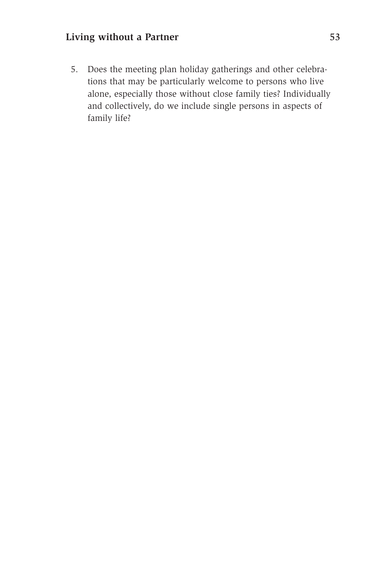### **Living without a Partner** 53

5. Does the meeting plan holiday gatherings and other celebrations that may be particularly welcome to persons who live alone, especially those without close family ties? Individually and collectively, do we include single persons in aspects of family life?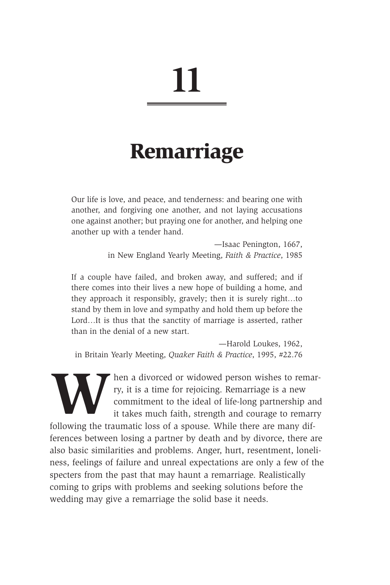## **Remarriage**

Our life is love, and peace, and tenderness: and bearing one with another, and forgiving one another, and not laying accusations one against another; but praying one for another, and helping one another up with a tender hand.

> —Isaac Penington, 1667, in New England Yearly Meeting, *Faith & Practice*, 1985

If a couple have failed, and broken away, and suffered; and if there comes into their lives a new hope of building a home, and they approach it responsibly, gravely; then it is surely right…to stand by them in love and sympathy and hold them up before the Lord…It is thus that the sanctity of marriage is asserted, rather than in the denial of a new start.

—Harold Loukes, 1962, in Britain Yearly Meeting, *Quaker Faith & Practice*, 1995, #22.76

Fry, it is a time for rejoicing. Remarriage is a new commitment to the ideal of life-long partnership and it takes much faith, strength and courage to remarry following the traumatic loss of a spouse. While there are many ry, it is a time for rejoicing. Remarriage is a new commitment to the ideal of life-long partnership and it takes much faith, strength and courage to remarry

following the traumatic loss of a spouse. While there are many differences between losing a partner by death and by divorce, there are also basic similarities and problems. Anger, hurt, resentment, loneliness, feelings of failure and unreal expectations are only a few of the specters from the past that may haunt a remarriage. Realistically coming to grips with problems and seeking solutions before the wedding may give a remarriage the solid base it needs.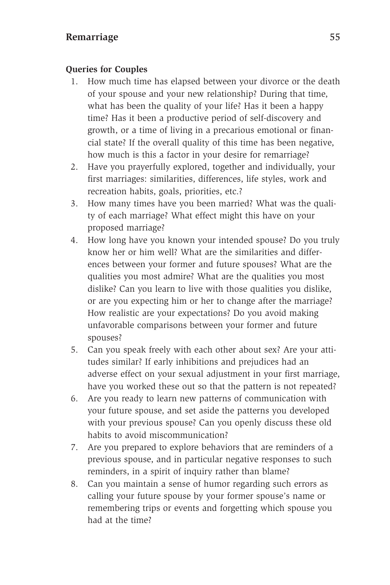### **Remarriage** 55

### **Queries for Couples**

- 1. How much time has elapsed between your divorce or the death of your spouse and your new relationship? During that time, what has been the quality of your life? Has it been a happy time? Has it been a productive period of self-discovery and growth, or a time of living in a precarious emotional or financial state? If the overall quality of this time has been negative, how much is this a factor in your desire for remarriage?
- 2. Have you prayerfully explored, together and individually, your first marriages: similarities, differences, life styles, work and recreation habits, goals, priorities, etc.?
- 3. How many times have you been married? What was the quality of each marriage? What effect might this have on your proposed marriage?
- 4. How long have you known your intended spouse? Do you truly know her or him well? What are the similarities and differences between your former and future spouses? What are the qualities you most admire? What are the qualities you most dislike? Can you learn to live with those qualities you dislike, or are you expecting him or her to change after the marriage? How realistic are your expectations? Do you avoid making unfavorable comparisons between your former and future spouses?
- 5. Can you speak freely with each other about sex? Are your attitudes similar? If early inhibitions and prejudices had an adverse effect on your sexual adjustment in your first marriage, have you worked these out so that the pattern is not repeated?
- 6. Are you ready to learn new patterns of communication with your future spouse, and set aside the patterns you developed with your previous spouse? Can you openly discuss these old habits to avoid miscommunication?
- 7. Are you prepared to explore behaviors that are reminders of a previous spouse, and in particular negative responses to such reminders, in a spirit of inquiry rather than blame?
- 8. Can you maintain a sense of humor regarding such errors as calling your future spouse by your former spouse's name or remembering trips or events and forgetting which spouse you had at the time?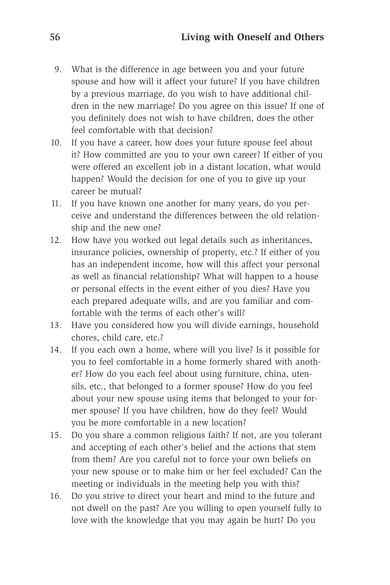- 9. What is the difference in age between you and your future spouse and how will it affect your future? If you have children by a previous marriage, do you wish to have additional children in the new marriage? Do you agree on this issue? If one of you definitely does not wish to have children, does the other feel comfortable with that decision?
- 10. If you have a career, how does your future spouse feel about it? How committed are you to your own career? If either of you were offered an excellent job in a distant location, what would happen? Would the decision for one of you to give up your career be mutual?
- 11. If you have known one another for many years, do you perceive and understand the differences between the old relationship and the new one?
- 12. How have you worked out legal details such as inheritances, insurance policies, ownership of property, etc.? If either of you has an independent income, how will this affect your personal as well as financial relationship? What will happen to a house or personal effects in the event either of you dies? Have you each prepared adequate wills, and are you familiar and comfortable with the terms of each other's will?
- 13. Have you considered how you will divide earnings, household chores, child care, etc.?
- 14. If you each own a home, where will you live? Is it possible for you to feel comfortable in a home formerly shared with another? How do you each feel about using furniture, china, utensils, etc., that belonged to a former spouse? How do you feel about your new spouse using items that belonged to your former spouse? If you have children, how do they feel? Would you be more comfortable in a new location?
- 15. Do you share a common religious faith? If not, are you tolerant and accepting of each other's belief and the actions that stem from them? Are you careful not to force your own beliefs on your new spouse or to make him or her feel excluded? Can the meeting or individuals in the meeting help you with this?
- 16. Do you strive to direct your heart and mind to the future and not dwell on the past? Are you willing to open yourself fully to love with the knowledge that you may again be hurt? Do you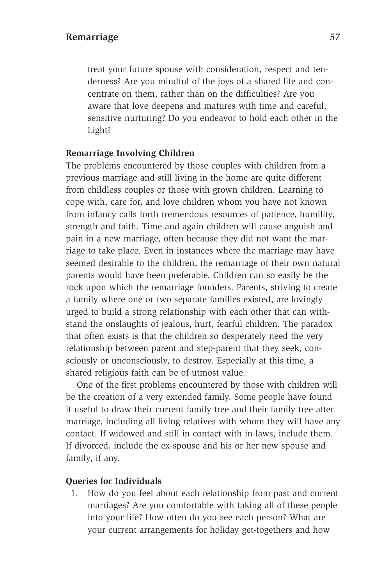### **Remarriage** 57

treat your future spouse with consideration, respect and tenderness? Are you mindful of the joys of a shared life and concentrate on them, rather than on the difficulties? Are you aware that love deepens and matures with time and careful, sensitive nurturing? Do you endeavor to hold each other in the Light?

### **Remarriage Involving Children**

The problems encountered by those couples with children from a previous marriage and still living in the home are quite different from childless couples or those with grown children. Learning to cope with, care for, and love children whom you have not known from infancy calls forth tremendous resources of patience, humility, strength and faith. Time and again children will cause anguish and pain in a new marriage, often because they did not want the marriage to take place. Even in instances where the marriage may have seemed desirable to the children, the remarriage of their own natural parents would have been preferable. Children can so easily be the rock upon which the remarriage founders. Parents, striving to create a family where one or two separate families existed, are lovingly urged to build a strong relationship with each other that can withstand the onslaughts of jealous, hurt, fearful children. The paradox that often exists is that the children so desperately need the very relationship between parent and step-parent that they seek, consciously or unconsciously, to destroy. Especially at this time, a shared religious faith can be of utmost value.

One of the first problems encountered by those with children will be the creation of a very extended family. Some people have found it useful to draw their current family tree and their family tree after marriage, including all living relatives with whom they will have any contact. If widowed and still in contact with in-laws, include them. If divorced, include the ex-spouse and his or her new spouse and family, if any.

### **Queries for Individuals**

1. How do you feel about each relationship from past and current marriages? Are you comfortable with taking all of these people into your life? How often do you see each person? What are your current arrangements for holiday get-togethers and how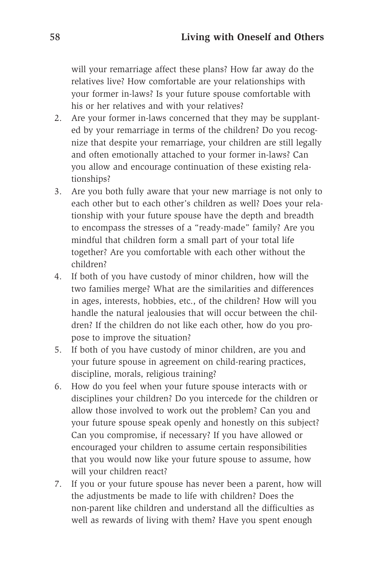will your remarriage affect these plans? How far away do the relatives live? How comfortable are your relationships with your former in-laws? Is your future spouse comfortable with his or her relatives and with your relatives?

- 2. Are your former in-laws concerned that they may be supplanted by your remarriage in terms of the children? Do you recognize that despite your remarriage, your children are still legally and often emotionally attached to your former in-laws? Can you allow and encourage continuation of these existing relationships?
- 3. Are you both fully aware that your new marriage is not only to each other but to each other's children as well? Does your relationship with your future spouse have the depth and breadth to encompass the stresses of a "ready-made" family? Are you mindful that children form a small part of your total life together? Are you comfortable with each other without the children?
- 4. If both of you have custody of minor children, how will the two families merge? What are the similarities and differences in ages, interests, hobbies, etc., of the children? How will you handle the natural jealousies that will occur between the children? If the children do not like each other, how do you propose to improve the situation?
- 5. If both of you have custody of minor children, are you and your future spouse in agreement on child-rearing practices, discipline, morals, religious training?
- 6. How do you feel when your future spouse interacts with or disciplines your children? Do you intercede for the children or allow those involved to work out the problem? Can you and your future spouse speak openly and honestly on this subject? Can you compromise, if necessary? If you have allowed or encouraged your children to assume certain responsibilities that you would now like your future spouse to assume, how will your children react?
- 7. If you or your future spouse has never been a parent, how will the adjustments be made to life with children? Does the non-parent like children and understand all the difficulties as well as rewards of living with them? Have you spent enough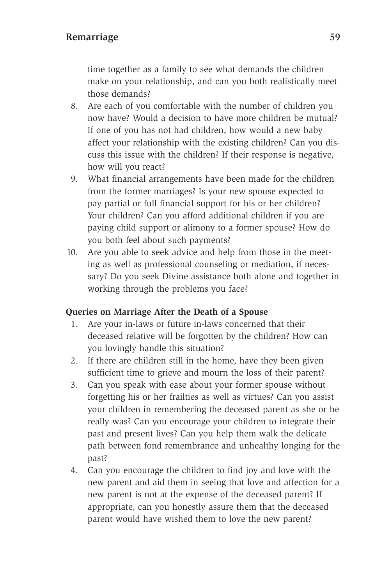time together as a family to see what demands the children make on your relationship, and can you both realistically meet those demands?

- 8. Are each of you comfortable with the number of children you now have? Would a decision to have more children be mutual? If one of you has not had children, how would a new baby affect your relationship with the existing children? Can you discuss this issue with the children? If their response is negative, how will you react?
- 9. What financial arrangements have been made for the children from the former marriages? Is your new spouse expected to pay partial or full financial support for his or her children? Your children? Can you afford additional children if you are paying child support or alimony to a former spouse? How do you both feel about such payments?
- 10. Are you able to seek advice and help from those in the meeting as well as professional counseling or mediation, if necessary? Do you seek Divine assistance both alone and together in working through the problems you face?

### **Queries on Marriage After the Death of a Spouse**

- 1. Are your in-laws or future in-laws concerned that their deceased relative will be forgotten by the children? How can you lovingly handle this situation?
- 2. If there are children still in the home, have they been given sufficient time to grieve and mourn the loss of their parent?
- 3. Can you speak with ease about your former spouse without forgetting his or her frailties as well as virtues? Can you assist your children in remembering the deceased parent as she or he really was? Can you encourage your children to integrate their past and present lives? Can you help them walk the delicate path between fond remembrance and unhealthy longing for the past?
- 4. Can you encourage the children to find joy and love with the new parent and aid them in seeing that love and affection for a new parent is not at the expense of the deceased parent? If appropriate, can you honestly assure them that the deceased parent would have wished them to love the new parent?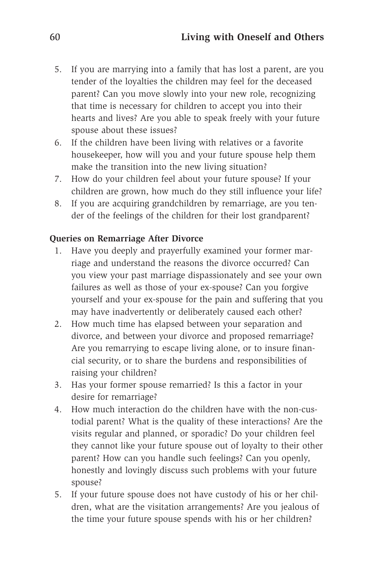- 5. If you are marrying into a family that has lost a parent, are you tender of the loyalties the children may feel for the deceased parent? Can you move slowly into your new role, recognizing that time is necessary for children to accept you into their hearts and lives? Are you able to speak freely with your future spouse about these issues?
- 6. If the children have been living with relatives or a favorite housekeeper, how will you and your future spouse help them make the transition into the new living situation?
- 7. How do your children feel about your future spouse? If your children are grown, how much do they still influence your life?
- 8. If you are acquiring grandchildren by remarriage, are you tender of the feelings of the children for their lost grandparent?

### **Queries on Remarriage After Divorce**

- 1. Have you deeply and prayerfully examined your former marriage and understand the reasons the divorce occurred? Can you view your past marriage dispassionately and see your own failures as well as those of your ex-spouse? Can you forgive yourself and your ex-spouse for the pain and suffering that you may have inadvertently or deliberately caused each other?
- 2. How much time has elapsed between your separation and divorce, and between your divorce and proposed remarriage? Are you remarrying to escape living alone, or to insure financial security, or to share the burdens and responsibilities of raising your children?
- 3. Has your former spouse remarried? Is this a factor in your desire for remarriage?
- 4. How much interaction do the children have with the non-custodial parent? What is the quality of these interactions? Are the visits regular and planned, or sporadic? Do your children feel they cannot like your future spouse out of loyalty to their other parent? How can you handle such feelings? Can you openly, honestly and lovingly discuss such problems with your future spouse?
- 5. If your future spouse does not have custody of his or her children, what are the visitation arrangements? Are you jealous of the time your future spouse spends with his or her children?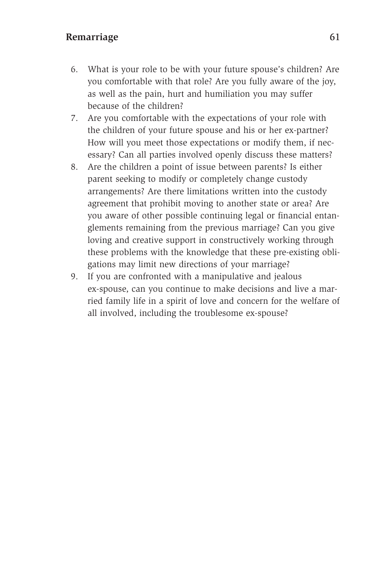### Remarriage 61

- 6. What is your role to be with your future spouse's children? Are you comfortable with that role? Are you fully aware of the joy, as well as the pain, hurt and humiliation you may suffer because of the children?
- 7. Are you comfortable with the expectations of your role with the children of your future spouse and his or her ex-partner? How will you meet those expectations or modify them, if necessary? Can all parties involved openly discuss these matters?
- 8. Are the children a point of issue between parents? Is either parent seeking to modify or completely change custody arrangements? Are there limitations written into the custody agreement that prohibit moving to another state or area? Are you aware of other possible continuing legal or financial entanglements remaining from the previous marriage? Can you give loving and creative support in constructively working through these problems with the knowledge that these pre-existing obligations may limit new directions of your marriage?
- 9. If you are confronted with a manipulative and jealous ex-spouse, can you continue to make decisions and live a married family life in a spirit of love and concern for the welfare of all involved, including the troublesome ex-spouse?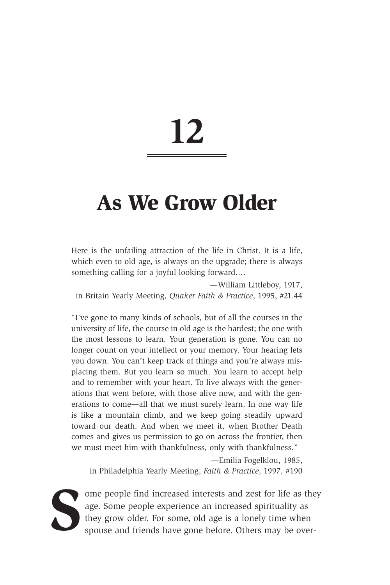### **As We Grow Older**

Here is the unfailing attraction of the life in Christ. It is a life, which even to old age, is always on the upgrade; there is always something calling for a joyful looking forward.…

—William Littleboy, 1917, in Britain Yearly Meeting, *Quaker Faith & Practice*, 1995, #21.44

"I've gone to many kinds of schools, but of all the courses in the university of life, the course in old age is the hardest; the one with the most lessons to learn. Your generation is gone. You can no longer count on your intellect or your memory. Your hearing lets you down. You can't keep track of things and you're always misplacing them. But you learn so much. You learn to accept help and to remember with your heart. To live always with the generations that went before, with those alive now, and with the generations to come—all that we must surely learn. In one way life is like a mountain climb, and we keep going steadily upward toward our death. And when we meet it, when Brother Death comes and gives us permission to go on across the frontier, then we must meet him with thankfulness, only with thankfulness."

—Emilia Fogelklou, 1985, in Philadelphia Yearly Meeting, *Faith & Practice*, 1997, #190



ome people find increased interests and zest for life as they age. Some people experience an increased spirituality as they grow older. For some, old age is a lonely time when spouse and friends have gone before. Others ma age. Some people experience an increased spirituality as they grow older. For some, old age is a lonely time when spouse and friends have gone before. Others may be over-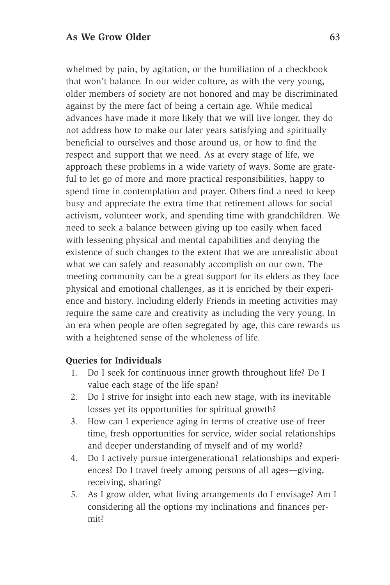whelmed by pain, by agitation, or the humiliation of a checkbook that won't balance. In our wider culture, as with the very young, older members of society are not honored and may be discriminated against by the mere fact of being a certain age. While medical advances have made it more likely that we will live longer, they do not address how to make our later years satisfying and spiritually beneficial to ourselves and those around us, or how to find the respect and support that we need. As at every stage of life, we approach these problems in a wide variety of ways. Some are grateful to let go of more and more practical responsibilities, happy to spend time in contemplation and prayer. Others find a need to keep busy and appreciate the extra time that retirement allows for social activism, volunteer work, and spending time with grandchildren. We need to seek a balance between giving up too easily when faced with lessening physical and mental capabilities and denying the existence of such changes to the extent that we are unrealistic about what we can safely and reasonably accomplish on our own. The meeting community can be a great support for its elders as they face physical and emotional challenges, as it is enriched by their experience and history. Including elderly Friends in meeting activities may require the same care and creativity as including the very young. In an era when people are often segregated by age, this care rewards us with a heightened sense of the wholeness of life.

### **Queries for Individuals**

- 1. Do I seek for continuous inner growth throughout life? Do I value each stage of the life span?
- 2. Do I strive for insight into each new stage, with its inevitable losses yet its opportunities for spiritual growth?
- 3. How can I experience aging in terms of creative use of freer time, fresh opportunities for service, wider social relationships and deeper understanding of myself and of my world?
- 4. Do I actively pursue intergenerationa1 relationships and experiences? Do I travel freely among persons of all ages—giving, receiving, sharing?
- 5. As I grow older, what living arrangements do I envisage? Am I considering all the options my inclinations and finances permit?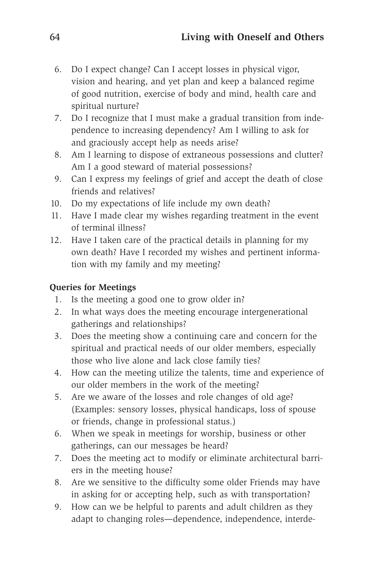- 6. Do I expect change? Can I accept losses in physical vigor, vision and hearing, and yet plan and keep a balanced regime of good nutrition, exercise of body and mind, health care and spiritual nurture?
- 7. Do I recognize that I must make a gradual transition from independence to increasing dependency? Am I willing to ask for and graciously accept help as needs arise?
- 8. Am I learning to dispose of extraneous possessions and clutter? Am I a good steward of material possessions?
- 9. Can I express my feelings of grief and accept the death of close friends and relatives?
- 10. Do my expectations of life include my own death?
- 11. Have I made clear my wishes regarding treatment in the event of terminal illness?
- 12. Have I taken care of the practical details in planning for my own death? Have I recorded my wishes and pertinent information with my family and my meeting?

### **Queries for Meetings**

- 1. Is the meeting a good one to grow older in?
- 2. In what ways does the meeting encourage intergenerational gatherings and relationships?
- 3. Does the meeting show a continuing care and concern for the spiritual and practical needs of our older members, especially those who live alone and lack close family ties?
- 4. How can the meeting utilize the talents, time and experience of our older members in the work of the meeting?
- 5. Are we aware of the losses and role changes of old age? (Examples: sensory losses, physical handicaps, loss of spouse or friends, change in professional status.)
- 6. When we speak in meetings for worship, business or other gatherings, can our messages be heard?
- 7. Does the meeting act to modify or eliminate architectural barriers in the meeting house?
- 8. Are we sensitive to the difficulty some older Friends may have in asking for or accepting help, such as with transportation?
- 9. How can we be helpful to parents and adult children as they adapt to changing roles—dependence, independence, interde-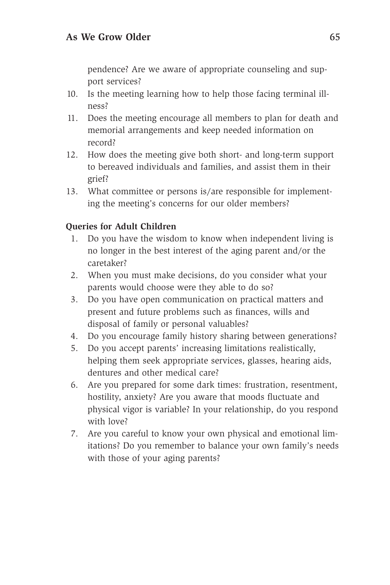pendence? Are we aware of appropriate counseling and support services?

- 10. Is the meeting learning how to help those facing terminal illness?
- 11. Does the meeting encourage all members to plan for death and memorial arrangements and keep needed information on record?
- 12. How does the meeting give both short- and long-term support to bereaved individuals and families, and assist them in their grief?
- 13. What committee or persons is/are responsible for implementing the meeting's concerns for our older members?

### **Queries for Adult Children**

- 1. Do you have the wisdom to know when independent living is no longer in the best interest of the aging parent and/or the caretaker?
- 2. When you must make decisions, do you consider what your parents would choose were they able to do so?
- 3. Do you have open communication on practical matters and present and future problems such as finances, wills and disposal of family or personal valuables?
- 4. Do you encourage family history sharing between generations?
- 5. Do you accept parents' increasing limitations realistically, helping them seek appropriate services, glasses, hearing aids, dentures and other medical care?
- 6. Are you prepared for some dark times: frustration, resentment, hostility, anxiety? Are you aware that moods fluctuate and physical vigor is variable? In your relationship, do you respond with love?
- 7. Are you careful to know your own physical and emotional limitations? Do you remember to balance your own family's needs with those of your aging parents?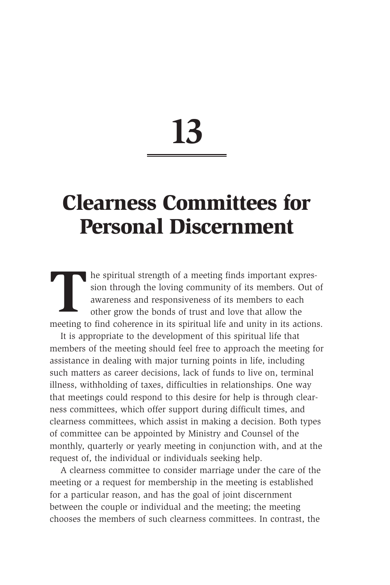### **Clearness Committees for Personal Discernment**

The spiritual strength of a meeting finds important expres-<br>sion through the loving community of its members. Out of<br>awareness and responsiveness of its members to each<br>other grow the bonds of trust and love that allow the sion through the loving community of its members. Out of awareness and responsiveness of its members to each other grow the bonds of trust and love that allow the meeting to find coherence in its spiritual life and unity in its actions.

It is appropriate to the development of this spiritual life that members of the meeting should feel free to approach the meeting for assistance in dealing with major turning points in life, including such matters as career decisions, lack of funds to live on, terminal illness, withholding of taxes, difficulties in relationships. One way that meetings could respond to this desire for help is through clearness committees, which offer support during difficult times, and clearness committees, which assist in making a decision. Both types of committee can be appointed by Ministry and Counsel of the monthly, quarterly or yearly meeting in conjunction with, and at the request of, the individual or individuals seeking help.

A clearness committee to consider marriage under the care of the meeting or a request for membership in the meeting is established for a particular reason, and has the goal of joint discernment between the couple or individual and the meeting; the meeting chooses the members of such clearness committees. In contrast, the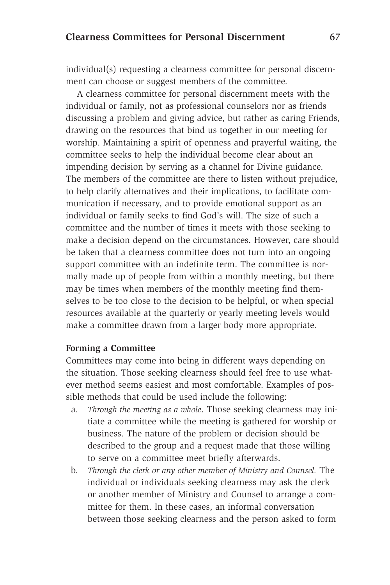individual(s) requesting a clearness committee for personal discernment can choose or suggest members of the committee.

A clearness committee for personal discernment meets with the individual or family, not as professional counselors nor as friends discussing a problem and giving advice, but rather as caring Friends, drawing on the resources that bind us together in our meeting for worship. Maintaining a spirit of openness and prayerful waiting, the committee seeks to help the individual become clear about an impending decision by serving as a channel for Divine guidance. The members of the committee are there to listen without prejudice, to help clarify alternatives and their implications, to facilitate communication if necessary, and to provide emotional support as an individual or family seeks to find God's will. The size of such a committee and the number of times it meets with those seeking to make a decision depend on the circumstances. However, care should be taken that a clearness committee does not turn into an ongoing support committee with an indefinite term. The committee is normally made up of people from within a monthly meeting, but there may be times when members of the monthly meeting find themselves to be too close to the decision to be helpful, or when special resources available at the quarterly or yearly meeting levels would make a committee drawn from a larger body more appropriate.

### **Forming a Committee**

Committees may come into being in different ways depending on the situation. Those seeking clearness should feel free to use whatever method seems easiest and most comfortable. Examples of possible methods that could be used include the following:

- a. *Through the meeting as a whole*. Those seeking clearness may initiate a committee while the meeting is gathered for worship or business. The nature of the problem or decision should be described to the group and a request made that those willing to serve on a committee meet briefly afterwards.
- b. *Through the clerk or any other member of Ministry and Counsel.* The individual or individuals seeking clearness may ask the clerk or another member of Ministry and Counsel to arrange a committee for them. In these cases, an informal conversation between those seeking clearness and the person asked to form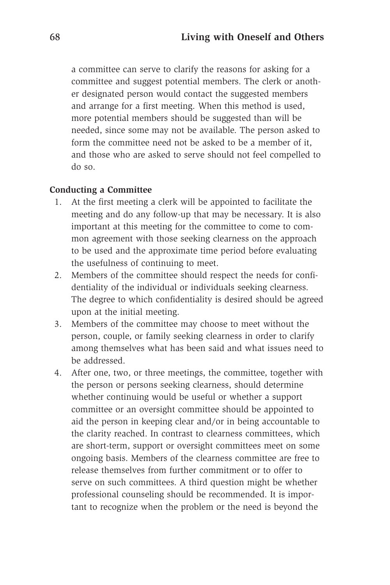a committee can serve to clarify the reasons for asking for a committee and suggest potential members. The clerk or another designated person would contact the suggested members and arrange for a first meeting. When this method is used, more potential members should be suggested than will be needed, since some may not be available. The person asked to form the committee need not be asked to be a member of it, and those who are asked to serve should not feel compelled to do so.

### **Conducting a Committee**

- 1. At the first meeting a clerk will be appointed to facilitate the meeting and do any follow-up that may be necessary. It is also important at this meeting for the committee to come to common agreement with those seeking clearness on the approach to be used and the approximate time period before evaluating the usefulness of continuing to meet.
- 2. Members of the committee should respect the needs for confidentiality of the individual or individuals seeking clearness. The degree to which confidentiality is desired should be agreed upon at the initial meeting.
- 3. Members of the committee may choose to meet without the person, couple, or family seeking clearness in order to clarify among themselves what has been said and what issues need to be addressed.
- 4. After one, two, or three meetings, the committee, together with the person or persons seeking clearness, should determine whether continuing would be useful or whether a support committee or an oversight committee should be appointed to aid the person in keeping clear and/or in being accountable to the clarity reached. In contrast to clearness committees, which are short-term, support or oversight committees meet on some ongoing basis. Members of the clearness committee are free to release themselves from further commitment or to offer to serve on such committees. A third question might be whether professional counseling should be recommended. It is important to recognize when the problem or the need is beyond the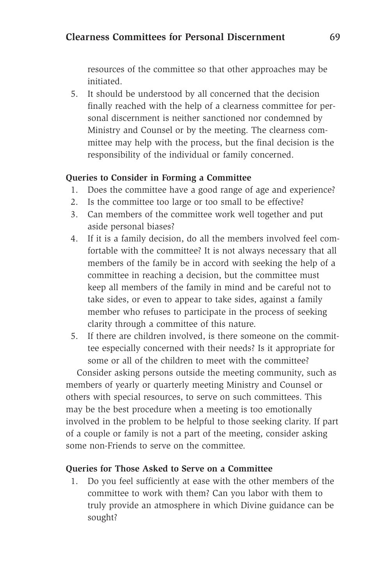## **Clearness Committees for Personal Discernment** 69

resources of the committee so that other approaches may be initiated.

5. It should be understood by all concerned that the decision finally reached with the help of a clearness committee for personal discernment is neither sanctioned nor condemned by Ministry and Counsel or by the meeting. The clearness committee may help with the process, but the final decision is the responsibility of the individual or family concerned.

### **Queries to Consider in Forming a Committee**

- 1. Does the committee have a good range of age and experience?
- 2. Is the committee too large or too small to be effective?
- 3. Can members of the committee work well together and put aside personal biases?
- 4. If it is a family decision, do all the members involved feel comfortable with the committee? It is not always necessary that all members of the family be in accord with seeking the help of a committee in reaching a decision, but the committee must keep all members of the family in mind and be careful not to take sides, or even to appear to take sides, against a family member who refuses to participate in the process of seeking clarity through a committee of this nature.
- 5. If there are children involved, is there someone on the committee especially concerned with their needs? Is it appropriate for some or all of the children to meet with the committee?

Consider asking persons outside the meeting community, such as members of yearly or quarterly meeting Ministry and Counsel or others with special resources, to serve on such committees. This may be the best procedure when a meeting is too emotionally involved in the problem to be helpful to those seeking clarity. If part of a couple or family is not a part of the meeting, consider asking some non-Friends to serve on the committee.

### **Queries for Those Asked to Serve on a Committee**

1. Do you feel sufficiently at ease with the other members of the committee to work with them? Can you labor with them to truly provide an atmosphere in which Divine guidance can be sought?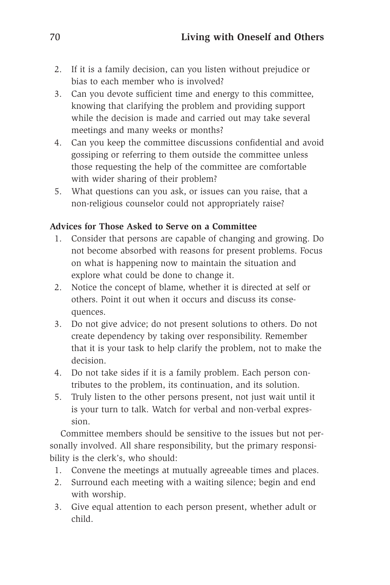- 2. If it is a family decision, can you listen without prejudice or bias to each member who is involved?
- 3. Can you devote sufficient time and energy to this committee, knowing that clarifying the problem and providing support while the decision is made and carried out may take several meetings and many weeks or months?
- 4. Can you keep the committee discussions confidential and avoid gossiping or referring to them outside the committee unless those requesting the help of the committee are comfortable with wider sharing of their problem?
- 5. What questions can you ask, or issues can you raise, that a non-religious counselor could not appropriately raise?

## **Advices for Those Asked to Serve on a Committee**

- 1. Consider that persons are capable of changing and growing. Do not become absorbed with reasons for present problems. Focus on what is happening now to maintain the situation and explore what could be done to change it.
- 2. Notice the concept of blame, whether it is directed at self or others. Point it out when it occurs and discuss its consequences.
- 3. Do not give advice; do not present solutions to others. Do not create dependency by taking over responsibility. Remember that it is your task to help clarify the problem, not to make the decision.
- 4. Do not take sides if it is a family problem. Each person contributes to the problem, its continuation, and its solution.
- 5. Truly listen to the other persons present, not just wait until it is your turn to talk. Watch for verbal and non-verbal expression.

Committee members should be sensitive to the issues but not personally involved. All share responsibility, but the primary responsibility is the clerk's, who should:

- 1. Convene the meetings at mutually agreeable times and places.
- 2. Surround each meeting with a waiting silence; begin and end with worship.
- 3. Give equal attention to each person present, whether adult or child.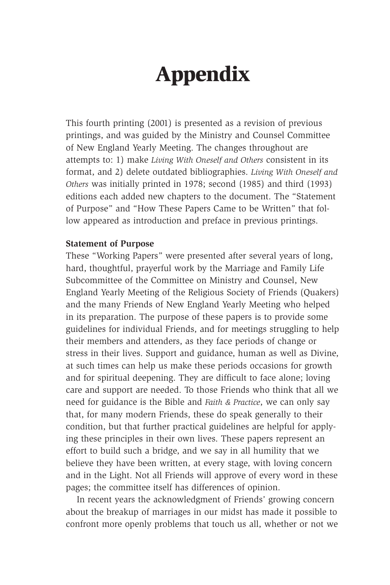# **Appendix**

This fourth printing (2001) is presented as a revision of previous printings, and was guided by the Ministry and Counsel Committee of New England Yearly Meeting. The changes throughout are attempts to: 1) make *Living With Oneself and Others* consistent in its format, and 2) delete outdated bibliographies. *Living With Oneself and Others* was initially printed in 1978; second (1985) and third (1993) editions each added new chapters to the document. The "Statement of Purpose" and "How These Papers Came to be Written" that follow appeared as introduction and preface in previous printings.

### **Statement of Purpose**

These "Working Papers" were presented after several years of long, hard, thoughtful, prayerful work by the Marriage and Family Life Subcommittee of the Committee on Ministry and Counsel, New England Yearly Meeting of the Religious Society of Friends (Quakers) and the many Friends of New England Yearly Meeting who helped in its preparation. The purpose of these papers is to provide some guidelines for individual Friends, and for meetings struggling to help their members and attenders, as they face periods of change or stress in their lives. Support and guidance, human as well as Divine, at such times can help us make these periods occasions for growth and for spiritual deepening. They are difficult to face alone; loving care and support are needed. To those Friends who think that all we need for guidance is the Bible and *Faith & Practice*, we can only say that, for many modern Friends, these do speak generally to their condition, but that further practical guidelines are helpful for applying these principles in their own lives. These papers represent an effort to build such a bridge, and we say in all humility that we believe they have been written, at every stage, with loving concern and in the Light. Not all Friends will approve of every word in these pages; the committee itself has differences of opinion.

In recent years the acknowledgment of Friends' growing concern about the breakup of marriages in our midst has made it possible to confront more openly problems that touch us all, whether or not we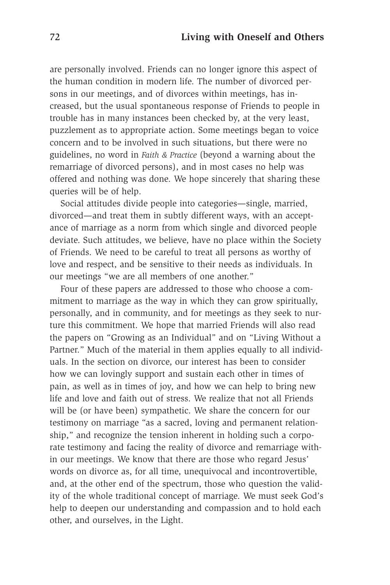are personally involved. Friends can no longer ignore this aspect of the human condition in modern life. The number of divorced persons in our meetings, and of divorces within meetings, has increased, but the usual spontaneous response of Friends to people in trouble has in many instances been checked by, at the very least, puzzlement as to appropriate action. Some meetings began to voice concern and to be involved in such situations, but there were no guidelines, no word in *Faith & Practice* (beyond a warning about the remarriage of divorced persons), and in most cases no help was offered and nothing was done. We hope sincerely that sharing these queries will be of help.

Social attitudes divide people into categories—single, married, divorced—and treat them in subtly different ways, with an acceptance of marriage as a norm from which single and divorced people deviate. Such attitudes, we believe, have no place within the Society of Friends. We need to be careful to treat all persons as worthy of love and respect, and be sensitive to their needs as individuals. In our meetings "we are all members of one another."

Four of these papers are addressed to those who choose a commitment to marriage as the way in which they can grow spiritually, personally, and in community, and for meetings as they seek to nurture this commitment. We hope that married Friends will also read the papers on "Growing as an Individual" and on "Living Without a Partner." Much of the material in them applies equally to all individuals. In the section on divorce, our interest has been to consider how we can lovingly support and sustain each other in times of pain, as well as in times of joy, and how we can help to bring new life and love and faith out of stress. We realize that not all Friends will be (or have been) sympathetic. We share the concern for our testimony on marriage "as a sacred, loving and permanent relationship," and recognize the tension inherent in holding such a corporate testimony and facing the reality of divorce and remarriage within our meetings. We know that there are those who regard Jesus' words on divorce as, for all time, unequivocal and incontrovertible, and, at the other end of the spectrum, those who question the validity of the whole traditional concept of marriage. We must seek God's help to deepen our understanding and compassion and to hold each other, and ourselves, in the Light.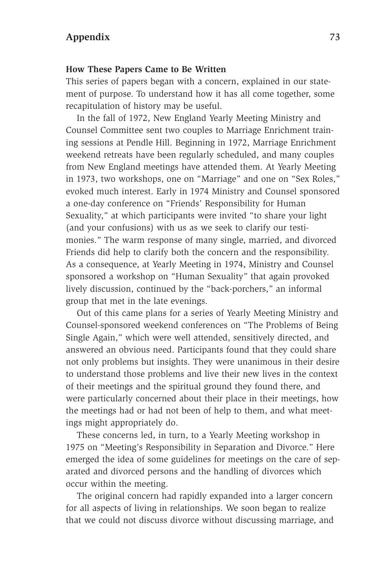## **Appendix** 73

#### **How These Papers Came to Be Written**

This series of papers began with a concern, explained in our statement of purpose. To understand how it has all come together, some recapitulation of history may be useful.

In the fall of 1972, New England Yearly Meeting Ministry and Counsel Committee sent two couples to Marriage Enrichment training sessions at Pendle Hill. Beginning in 1972, Marriage Enrichment weekend retreats have been regularly scheduled, and many couples from New England meetings have attended them. At Yearly Meeting in 1973, two workshops, one on "Marriage" and one on "Sex Roles," evoked much interest. Early in 1974 Ministry and Counsel sponsored a one-day conference on "Friends' Responsibility for Human Sexuality," at which participants were invited "to share your light (and your confusions) with us as we seek to clarify our testimonies." The warm response of many single, married, and divorced Friends did help to clarify both the concern and the responsibility. As a consequence, at Yearly Meeting in 1974, Ministry and Counsel sponsored a workshop on "Human Sexuality" that again provoked lively discussion, continued by the "back-porchers," an informal group that met in the late evenings.

Out of this came plans for a series of Yearly Meeting Ministry and Counsel-sponsored weekend conferences on "The Problems of Being Single Again," which were well attended, sensitively directed, and answered an obvious need. Participants found that they could share not only problems but insights. They were unanimous in their desire to understand those problems and live their new lives in the context of their meetings and the spiritual ground they found there, and were particularly concerned about their place in their meetings, how the meetings had or had not been of help to them, and what meetings might appropriately do.

These concerns led, in turn, to a Yearly Meeting workshop in 1975 on "Meeting's Responsibility in Separation and Divorce." Here emerged the idea of some guidelines for meetings on the care of separated and divorced persons and the handling of divorces which occur within the meeting.

The original concern had rapidly expanded into a larger concern for all aspects of living in relationships. We soon began to realize that we could not discuss divorce without discussing marriage, and